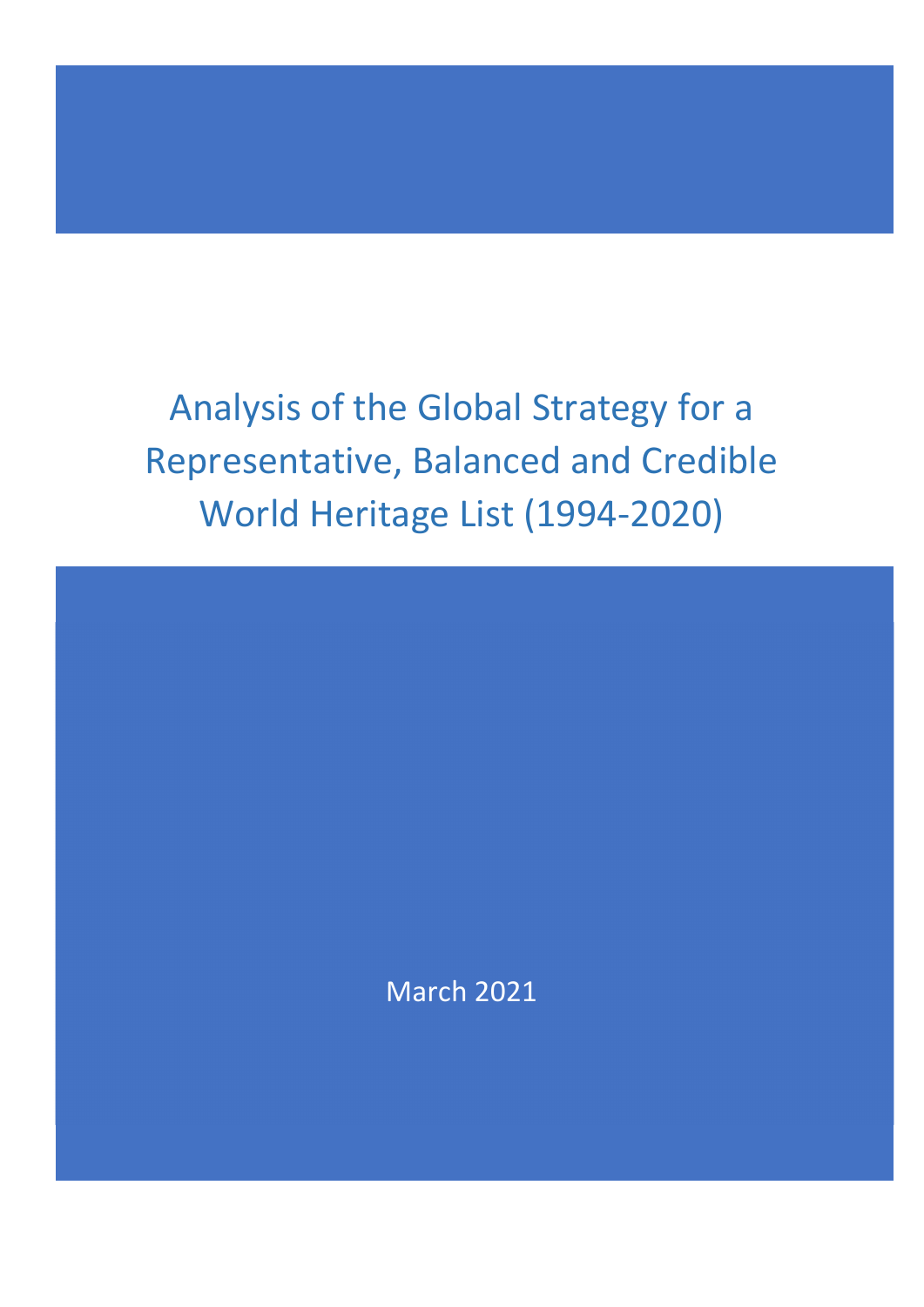Analysis of the Global Strategy for a Representative, Balanced and Credible World Heritage List (1994‐2020)

March 2021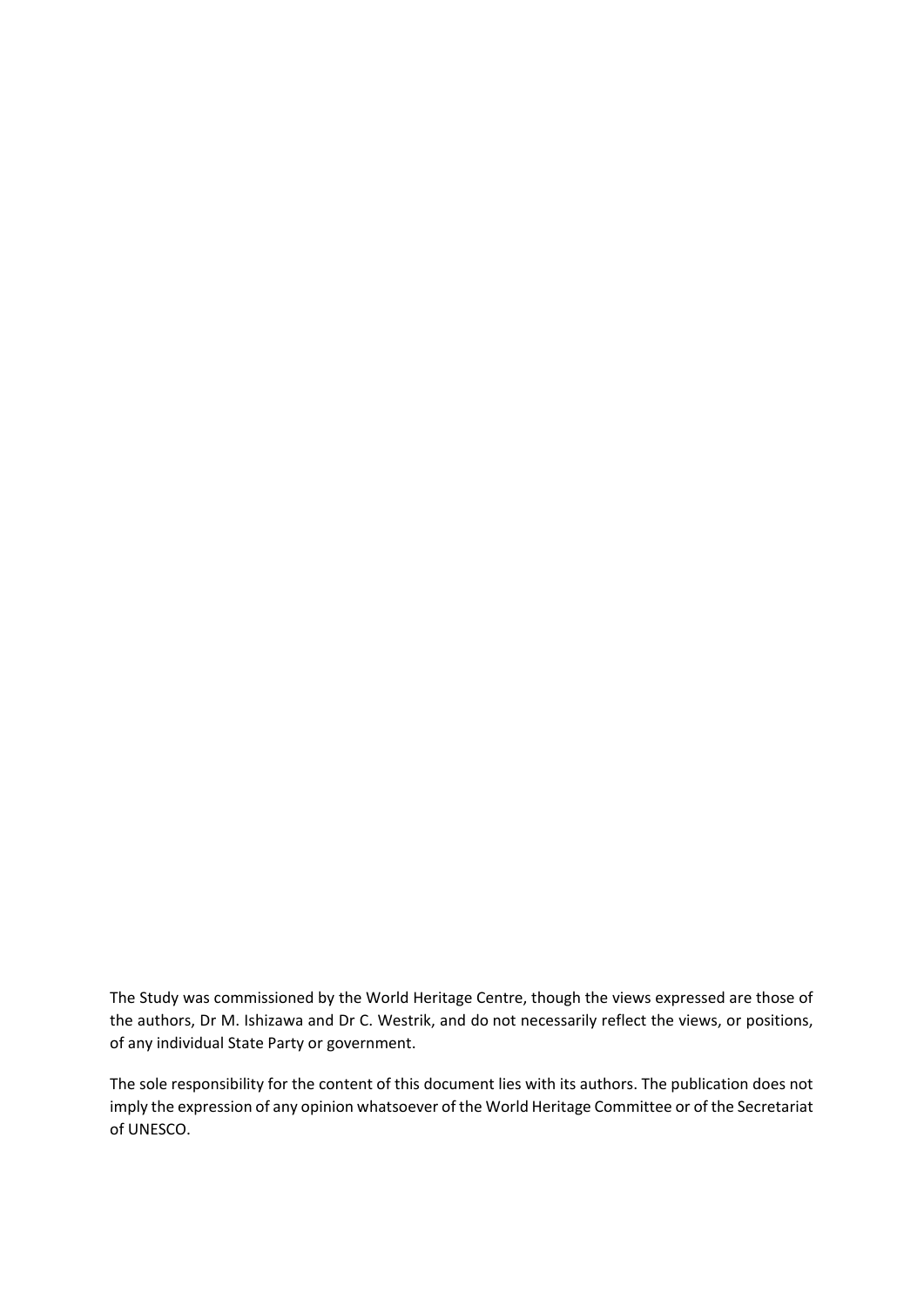The Study was commissioned by the World Heritage Centre, though the views expressed are those of the authors, Dr M. Ishizawa and Dr C. Westrik, and do not necessarily reflect the views, or positions, of any individual State Party or government.

The sole responsibility for the content of this document lies with its authors. The publication does not imply the expression of any opinion whatsoever of the World Heritage Committee or of the Secretariat of UNESCO.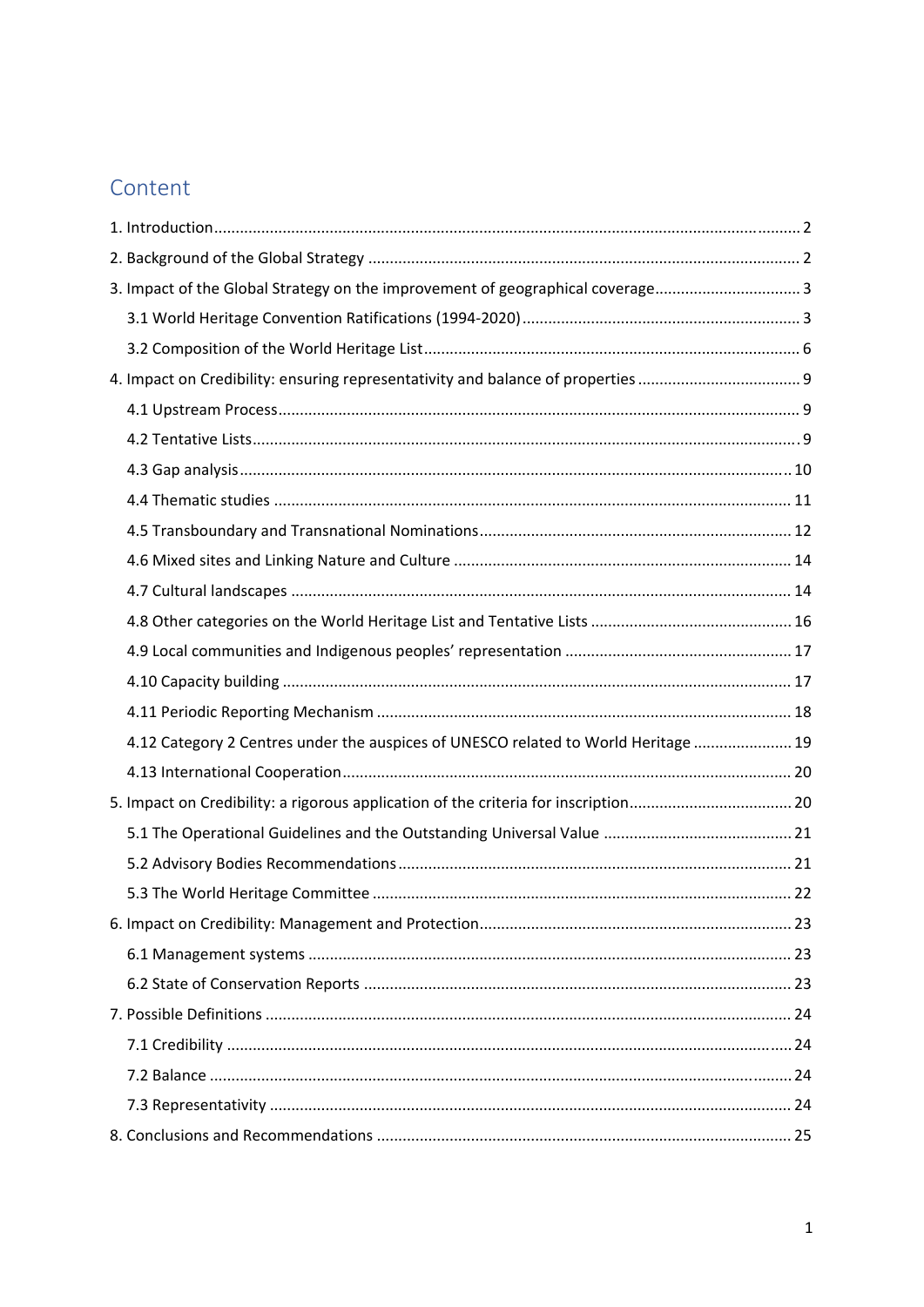# Content

| 3. Impact of the Global Strategy on the improvement of geographical coverage 3     |  |
|------------------------------------------------------------------------------------|--|
|                                                                                    |  |
|                                                                                    |  |
|                                                                                    |  |
|                                                                                    |  |
|                                                                                    |  |
|                                                                                    |  |
|                                                                                    |  |
|                                                                                    |  |
|                                                                                    |  |
|                                                                                    |  |
|                                                                                    |  |
|                                                                                    |  |
|                                                                                    |  |
|                                                                                    |  |
| 4.12 Category 2 Centres under the auspices of UNESCO related to World Heritage  19 |  |
|                                                                                    |  |
|                                                                                    |  |
|                                                                                    |  |
|                                                                                    |  |
|                                                                                    |  |
|                                                                                    |  |
|                                                                                    |  |
|                                                                                    |  |
|                                                                                    |  |
|                                                                                    |  |
|                                                                                    |  |
|                                                                                    |  |
|                                                                                    |  |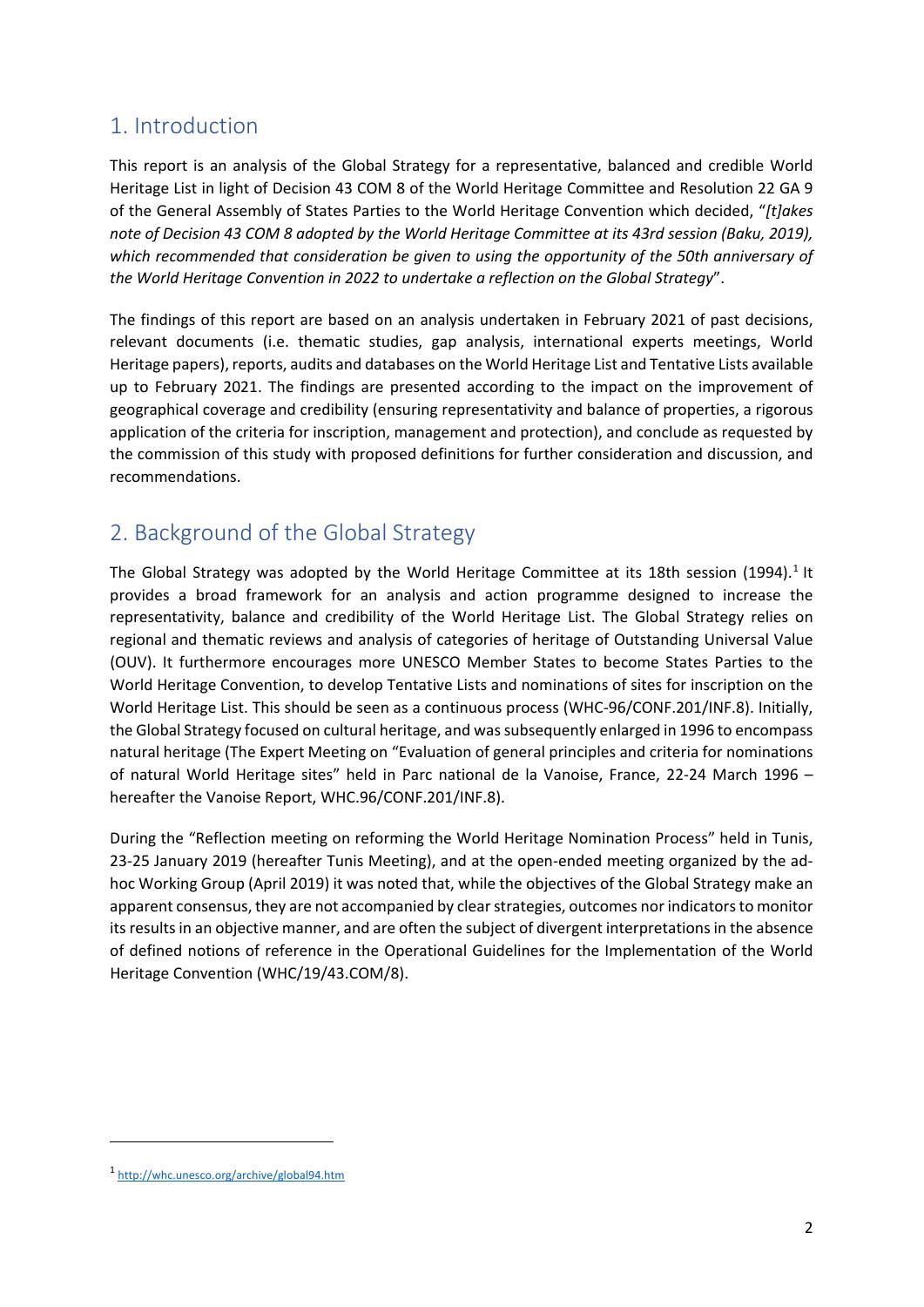## 1. Introduction

This report is an analysis of the Global Strategy for a representative, balanced and credible World Heritage List in light of Decision 43 COM 8 of the World Heritage Committee and Resolution 22 GA 9 of the General Assembly of States Parties to the World Heritage Convention which decided, "*[t]akes* note of Decision 43 COM 8 adopted by the World Heritage Committee at its 43rd session (Baku, 2019), *which recommended that consideration be given to using the opportunity of the 50th anniversary of the World Heritage Convention in 2022 to undertake a reflection on the Global Strategy*".

The findings of this report are based on an analysis undertaken in February 2021 of past decisions, relevant documents (i.e. thematic studies, gap analysis, international experts meetings, World Heritage papers), reports, audits and databases on the World Heritage List and Tentative Lists available up to February 2021. The findings are presented according to the impact on the improvement of geographical coverage and credibility (ensuring representativity and balance of properties, a rigorous application of the criteria for inscription, management and protection), and conclude as requested by the commission of this study with proposed definitions for further consideration and discussion, and recommendations.

## 2. Background of the Global Strategy

The Global Strategy was adopted by the World Heritage Committee at its 18th session (1994).<sup>1</sup> It provides a broad framework for an analysis and action programme designed to increase the representativity, balance and credibility of the World Heritage List. The Global Strategy relies on regional and thematic reviews and analysis of categories of heritage of Outstanding Universal Value (OUV). It furthermore encourages more UNESCO Member States to become States Parties to the World Heritage Convention, to develop Tentative Lists and nominations of sites for inscription on the World Heritage List. This should be seen as a continuous process (WHC‐96/CONF.201/INF.8). Initially, the Global Strategy focused on cultural heritage, and wassubsequently enlarged in 1996 to encompass natural heritage (The Expert Meeting on "Evaluation of general principles and criteria for nominations of natural World Heritage sites" held in Parc national de la Vanoise, France, 22‐24 March 1996 – hereafter the Vanoise Report, WHC.96/CONF.201/INF.8).

During the "Reflection meeting on reforming the World Heritage Nomination Process" held in Tunis, 23‐25 January 2019 (hereafter Tunis Meeting), and at the open‐ended meeting organized by the ad‐ hoc Working Group (April 2019) it was noted that, while the objectives of the Global Strategy make an apparent consensus, they are not accompanied by clear strategies, outcomes nor indicators to monitor its results in an objective manner, and are often the subject of divergent interpretations in the absence of defined notions of reference in the Operational Guidelines for the Implementation of the World Heritage Convention (WHC/19/43.COM/8).

<sup>1</sup> http://whc.unesco.org/archive/global94.htm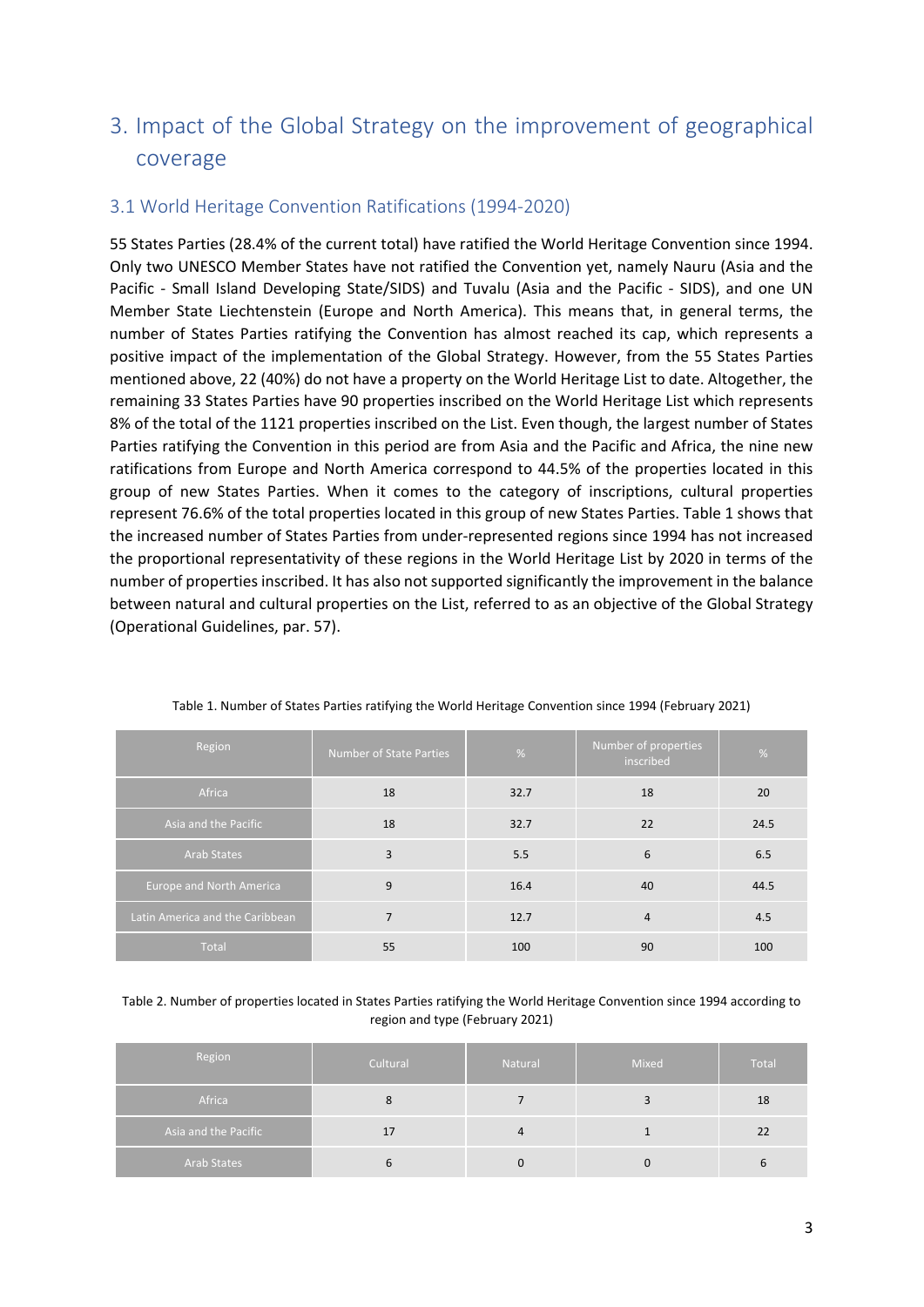# 3. Impact of the Global Strategy on the improvement of geographical coverage

#### 3.1 World Heritage Convention Ratifications (1994‐2020)

55 States Parties (28.4% of the current total) have ratified the World Heritage Convention since 1994. Only two UNESCO Member States have not ratified the Convention yet, namely Nauru (Asia and the Pacific - Small Island Developing State/SIDS) and Tuvalu (Asia and the Pacific - SIDS), and one UN Member State Liechtenstein (Europe and North America). This means that, in general terms, the number of States Parties ratifying the Convention has almost reached its cap, which represents a positive impact of the implementation of the Global Strategy. However, from the 55 States Parties mentioned above, 22 (40%) do not have a property on the World Heritage List to date. Altogether, the remaining 33 States Parties have 90 properties inscribed on the World Heritage List which represents 8% of the total of the 1121 properties inscribed on the List. Even though, the largest number of States Parties ratifying the Convention in this period are from Asia and the Pacific and Africa, the nine new ratifications from Europe and North America correspond to 44.5% of the properties located in this group of new States Parties. When it comes to the category of inscriptions, cultural properties represent 76.6% of the total properties located in this group of new States Parties. Table 1 shows that the increased number of States Parties from under‐represented regions since 1994 has not increased the proportional representativity of these regions in the World Heritage List by 2020 in terms of the number of properties inscribed. It has also not supported significantly the improvement in the balance between natural and cultural properties on the List, referred to as an objective of the Global Strategy (Operational Guidelines, par. 57).

| Region                          | Number of State Parties | %    | Number of properties<br>inscribed | %    |
|---------------------------------|-------------------------|------|-----------------------------------|------|
| Africa                          | 18                      | 32.7 | 18                                | 20   |
| Asia and the Pacific            | 18                      | 32.7 | 22                                | 24.5 |
| <b>Arab States</b>              | 3                       | 5.5  | 6                                 | 6.5  |
| <b>Europe and North America</b> | 9                       | 16.4 | 40                                | 44.5 |
| Latin America and the Caribbean | 7                       | 12.7 | $\overline{4}$                    | 4.5  |
| Total                           | 55                      | 100  | 90                                | 100  |

Table 1. Number of States Parties ratifying the World Heritage Convention since 1994 (February 2021)

Table 2. Number of properties located in States Parties ratifying the World Heritage Convention since 1994 according to region and type (February 2021)

| Region               | Cultural | Natural | Mixed    | Total |
|----------------------|----------|---------|----------|-------|
| Africa               |          |         |          | 18    |
| Asia and the Pacific | Ŧ١       | 4       |          | 22    |
| Arab States          |          |         | $\Omega$ |       |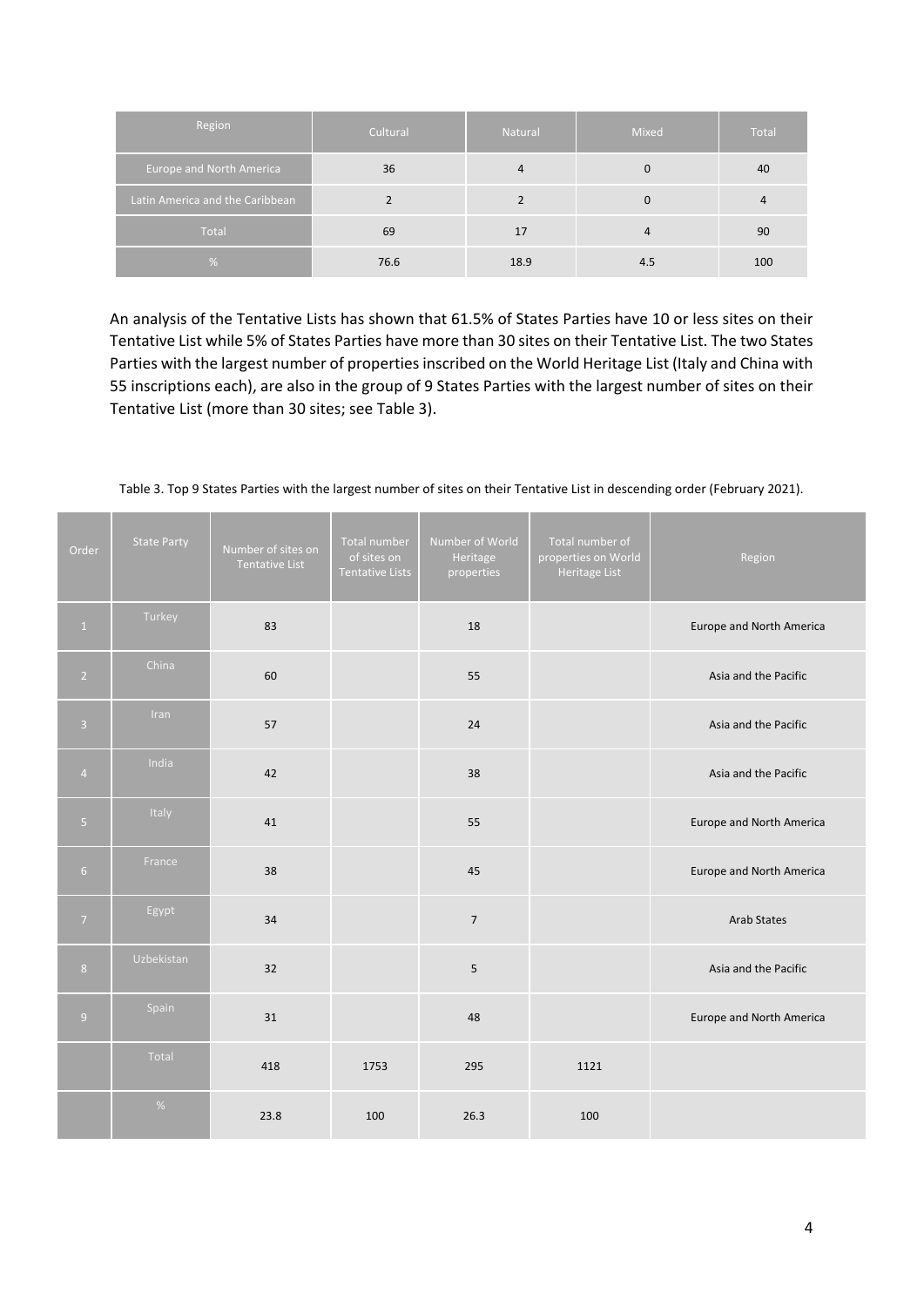| Region                          | Cultural | Natural | Mixed    | Total |
|---------------------------------|----------|---------|----------|-------|
| Europe and North America        | 36       | 4       | $\Omega$ | 40    |
| Latin America and the Caribbean |          |         | 0        | 4     |
| Total                           | 69       | 17      | 4        | 90    |
| $\%$                            | 76.6     | 18.9    | 4.5      | 100   |

An analysis of the Tentative Lists has shown that 61.5% of States Parties have 10 or less sites on their Tentative List while 5% of States Parties have more than 30 sites on their Tentative List. The two States Parties with the largest number of properties inscribed on the World Heritage List (Italy and China with 55 inscriptions each), are also in the group of 9 States Parties with the largest number of sites on their Tentative List (more than 30 sites; see Table 3).

| Order          | <b>State Party</b> | Number of sites on<br>Tentative List | <b>Total number</b><br>of sites on<br>Tentative Lists | Number of World<br>Heritage<br>properties | Total number of<br>properties on World<br>Heritage List | Region                   |
|----------------|--------------------|--------------------------------------|-------------------------------------------------------|-------------------------------------------|---------------------------------------------------------|--------------------------|
| $\,$ 1 $\,$    | Turkey             | 83                                   |                                                       | 18                                        |                                                         | Europe and North America |
| $\overline{2}$ | China              | 60                                   |                                                       | 55                                        |                                                         | Asia and the Pacific     |
| $\overline{3}$ | Iran               | 57                                   |                                                       | 24                                        |                                                         | Asia and the Pacific     |
| $\overline{4}$ | India              | 42                                   |                                                       | 38                                        |                                                         | Asia and the Pacific     |
| $\overline{5}$ | Italy              | 41                                   |                                                       | 55                                        |                                                         | Europe and North America |
| 6 <sup>1</sup> | France             | 38                                   |                                                       | 45                                        |                                                         | Europe and North America |
| 7 <sup>7</sup> | Egypt              | 34                                   |                                                       | $\overline{7}$                            |                                                         | <b>Arab States</b>       |
| 8 <sup>°</sup> | Uzbekistan         | 32                                   |                                                       | 5                                         |                                                         | Asia and the Pacific     |
| $\overline{9}$ | Spain              | 31                                   |                                                       | 48                                        |                                                         | Europe and North America |
|                | Total              | 418                                  | 1753                                                  | 295                                       | 1121                                                    |                          |
|                | $\%$               | 23.8                                 | 100                                                   | 26.3                                      | 100                                                     |                          |

Table 3. Top 9 States Parties with the largest number of sites on their Tentative List in descending order (February 2021).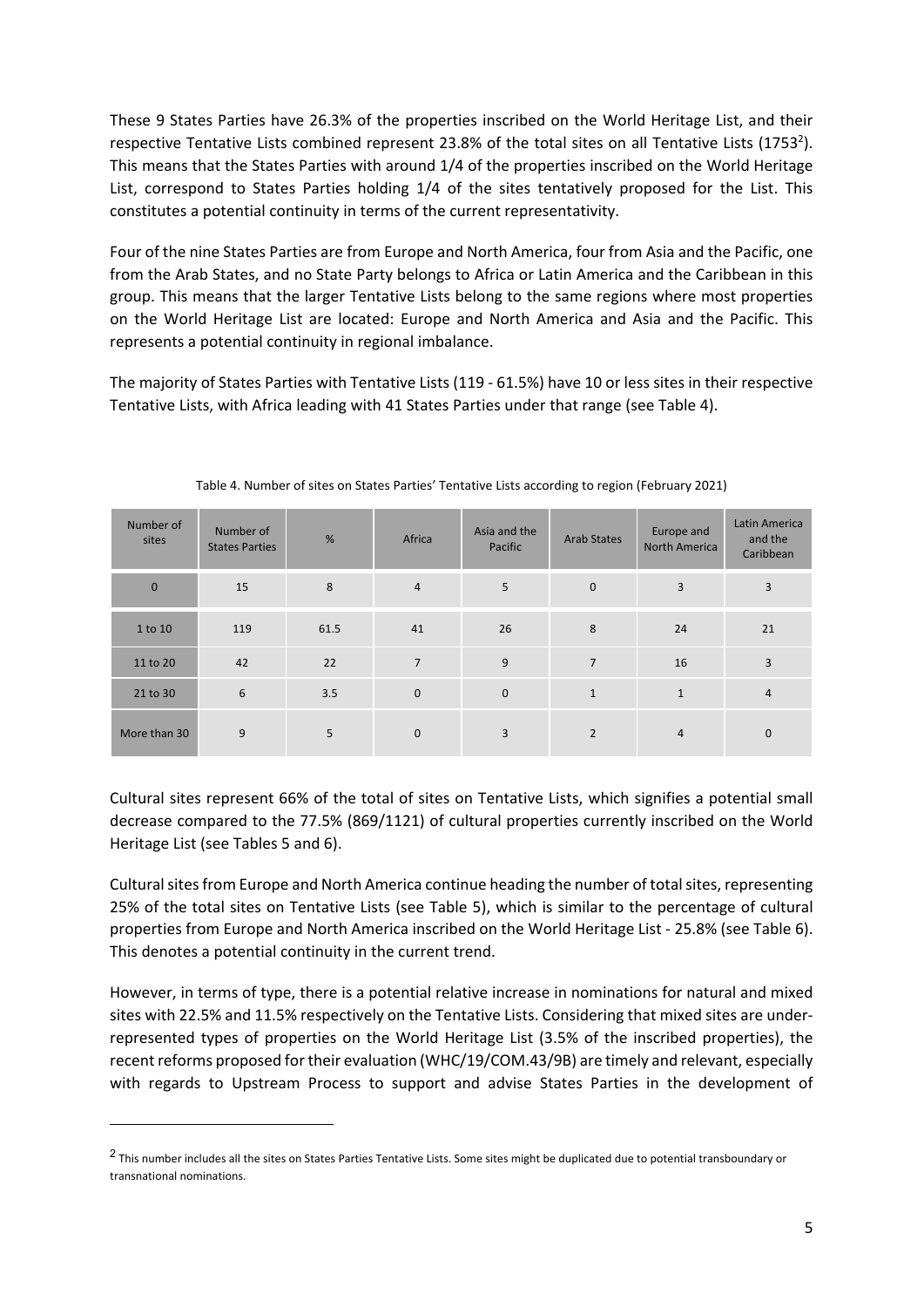These 9 States Parties have 26.3% of the properties inscribed on the World Heritage List, and their respective Tentative Lists combined represent 23.8% of the total sites on all Tentative Lists (1753<sup>2</sup>). This means that the States Parties with around 1/4 of the properties inscribed on the World Heritage List, correspond to States Parties holding 1/4 of the sites tentatively proposed for the List. This constitutes a potential continuity in terms of the current representativity.

Four of the nine States Parties are from Europe and North America, four from Asia and the Pacific, one from the Arab States, and no State Party belongs to Africa or Latin America and the Caribbean in this group. This means that the larger Tentative Lists belong to the same regions where most properties on the World Heritage List are located: Europe and North America and Asia and the Pacific. This represents a potential continuity in regional imbalance.

The majority of States Parties with Tentative Lists (119 ‐ 61.5%) have 10 or less sites in their respective Tentative Lists, with Africa leading with 41 States Parties under that range (see Table 4).

| Number of<br>sites | Number of<br><b>States Parties</b> | %    | Africa         | Asia and the<br>Pacific | <b>Arab States</b> | Europe and<br><b>North America</b> | Latin America<br>and the<br>Caribbean |
|--------------------|------------------------------------|------|----------------|-------------------------|--------------------|------------------------------------|---------------------------------------|
| $\mathbf{0}$       | 15                                 | 8    | $\overline{4}$ | 5                       | $\mathbf 0$        | $\overline{3}$                     | 3                                     |
| 1 to 10            | 119                                | 61.5 | 41             | 26                      | 8                  | 24                                 | 21                                    |
| 11 to 20           | 42                                 | 22   | $\overline{7}$ | 9                       | $\overline{7}$     | 16                                 | 3                                     |
| 21 to 30           | 6                                  | 3.5  | $\mathbf{0}$   | $\mathbf{0}$            | $\mathbf{1}$       | $\mathbf{1}$                       | $\overline{4}$                        |
| More than 30       | 9                                  | 5    | $\mathbf 0$    | 3                       | $\overline{2}$     | $\overline{4}$                     | 0                                     |

Table 4. Number of sites on States Parties' Tentative Lists according to region (February 2021)

Cultural sites represent 66% of the total of sites on Tentative Lists, which signifies a potential small decrease compared to the 77.5% (869/1121) of cultural properties currently inscribed on the World Heritage List (see Tables 5 and 6).

Cultural sites from Europe and North America continue heading the number of total sites, representing 25% of the total sites on Tentative Lists (see Table 5), which is similar to the percentage of cultural properties from Europe and North America inscribed on the World Heritage List ‐ 25.8% (see Table 6). This denotes a potential continuity in the current trend.

However, in terms of type, there is a potential relative increase in nominations for natural and mixed sites with 22.5% and 11.5% respectively on the Tentative Lists. Considering that mixed sites are under‐ represented types of properties on the World Heritage List (3.5% of the inscribed properties), the recent reforms proposed for their evaluation (WHC/19/COM.43/9B) are timely and relevant, especially with regards to Upstream Process to support and advise States Parties in the development of

 $2$  This number includes all the sites on States Parties Tentative Lists. Some sites might be duplicated due to potential transboundary or transnational nominations.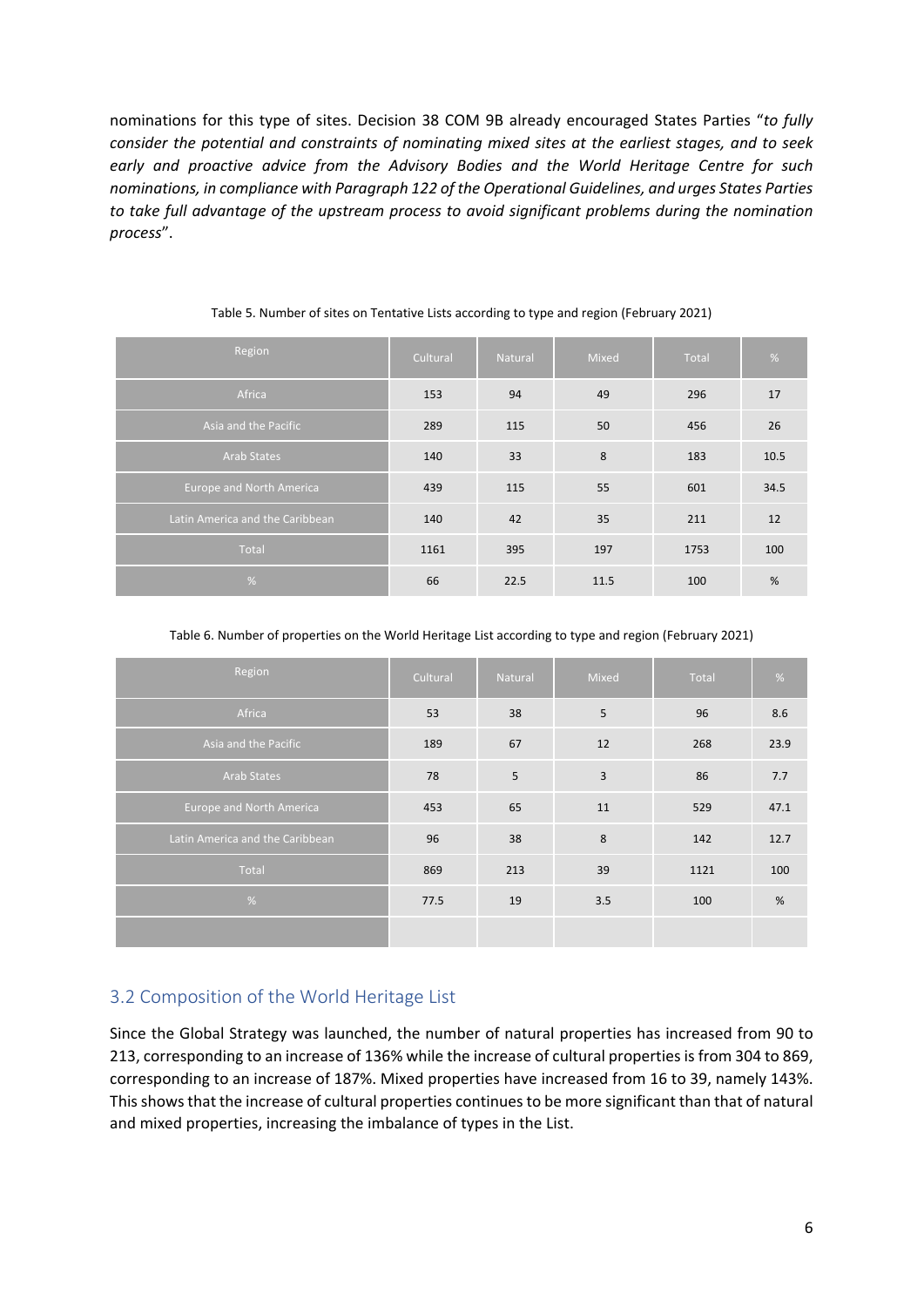nominations for this type of sites. Decision 38 COM 9B already encouraged States Parties "*to fully consider the potential and constraints of nominating mixed sites at the earliest stages, and to seek early and proactive advice from the Advisory Bodies and the World Heritage Centre for such nominations, in compliance with Paragraph 122 of the Operational Guidelines, and urges States Parties to take full advantage of the upstream process to avoid significant problems during the nomination process*".

| Region                          | Cultural | Natural | <b>Mixed</b> | <b>Total</b> | %    |
|---------------------------------|----------|---------|--------------|--------------|------|
| Africa                          | 153      | 94      | 49           | 296          | 17   |
| Asia and the Pacific            | 289      | 115     | 50           | 456          | 26   |
| Arab States                     | 140      | 33      | 8            | 183          | 10.5 |
| <b>Europe and North America</b> | 439      | 115     | 55           | 601          | 34.5 |
| Latin America and the Caribbean | 140      | 42      | 35           | 211          | 12   |
| Total                           | 1161     | 395     | 197          | 1753         | 100  |
| $\frac{9}{6}$                   | 66       | 22.5    | 11.5         | 100          | %    |

#### Table 5. Number of sites on Tentative Lists according to type and region (February 2021)

Table 6. Number of properties on the World Heritage List according to type and region (February 2021)

| Region                          | Cultural | Natural | Mixed | Total | %    |
|---------------------------------|----------|---------|-------|-------|------|
| Africa                          | 53       | 38      | 5     | 96    | 8.6  |
| Asia and the Pacific            | 189      | 67      | 12    | 268   | 23.9 |
| Arab States                     | 78       | 5       | 3     | 86    | 7.7  |
| <b>Europe and North America</b> | 453      | 65      | 11    | 529   | 47.1 |
| Latin America and the Caribbean | 96       | 38      | 8     | 142   | 12.7 |
| Total                           | 869      | 213     | 39    | 1121  | 100  |
| %                               | 77.5     | 19      | 3.5   | 100   | %    |
|                                 |          |         |       |       |      |

### 3.2 Composition of the World Heritage List

Since the Global Strategy was launched, the number of natural properties has increased from 90 to 213, corresponding to an increase of 136% while the increase of cultural properties is from 304 to 869, corresponding to an increase of 187%. Mixed properties have increased from 16 to 39, namely 143%. Thisshowsthat the increase of cultural properties continuesto be more significant than that of natural and mixed properties, increasing the imbalance of types in the List.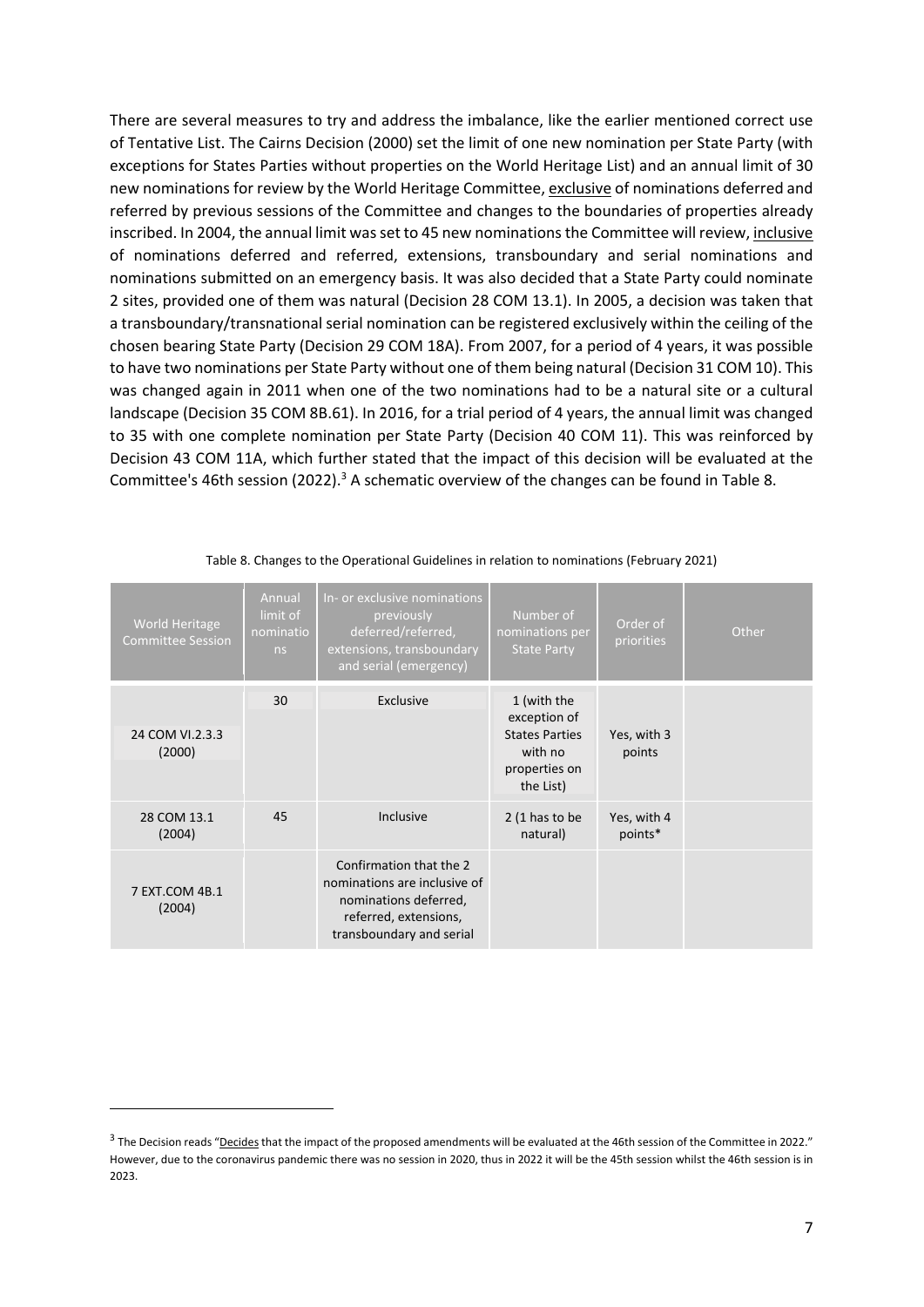There are several measures to try and address the imbalance, like the earlier mentioned correct use of Tentative List. The Cairns Decision (2000) set the limit of one new nomination per State Party (with exceptions for States Parties without properties on the World Heritage List) and an annual limit of 30 new nominations for review by the World Heritage Committee, exclusive of nominations deferred and referred by previous sessions of the Committee and changes to the boundaries of properties already inscribed. In 2004, the annual limit wasset to 45 new nominations the Committee will review, inclusive of nominations deferred and referred, extensions, transboundary and serial nominations and nominations submitted on an emergency basis. It was also decided that a State Party could nominate 2 sites, provided one of them was natural (Decision 28 COM 13.1). In 2005, a decision was taken that a transboundary/transnational serial nomination can be registered exclusively within the ceiling of the chosen bearing State Party (Decision 29 COM 18A). From 2007, for a period of 4 years, it was possible to have two nominations per State Party without one of them being natural (Decision 31 COM 10). This was changed again in 2011 when one of the two nominations had to be a natural site or a cultural landscape (Decision 35 COM 8B.61). In 2016, for a trial period of 4 years, the annual limit was changed to 35 with one complete nomination per State Party (Decision 40 COM 11). This was reinforced by Decision 43 COM 11A, which further stated that the impact of this decision will be evaluated at the Committee's 46th session (2022).<sup>3</sup> A schematic overview of the changes can be found in Table 8.

| <b>World Heritage</b><br><b>Committee Session</b> | Annual<br>limit of<br>nominatio<br>ns | In- or exclusive nominations<br>previously<br>deferred/referred,<br>extensions, transboundary<br>and serial (emergency)               | Number of<br>nominations per<br><b>State Party</b>             | Order of<br>priorities | Other |
|---------------------------------------------------|---------------------------------------|---------------------------------------------------------------------------------------------------------------------------------------|----------------------------------------------------------------|------------------------|-------|
|                                                   | 30                                    | Exclusive                                                                                                                             | 1 (with the<br>exception of                                    |                        |       |
| 24 COM VI.2.3.3<br>(2000)                         |                                       |                                                                                                                                       | <b>States Parties</b><br>with no<br>properties on<br>the List) | Yes, with 3<br>points  |       |
| 28 COM 13.1                                       | 45                                    | Inclusive                                                                                                                             | $2(1$ has to be                                                | Yes, with 4            |       |
| (2004)                                            |                                       |                                                                                                                                       | natural)                                                       | points*                |       |
| 7 EXT.COM 4B.1<br>(2004)                          |                                       | Confirmation that the 2<br>nominations are inclusive of<br>nominations deferred,<br>referred, extensions,<br>transboundary and serial |                                                                |                        |       |

#### Table 8. Changes to the Operational Guidelines in relation to nominations (February 2021)

 $3$  The Decision reads "Decides that the impact of the proposed amendments will be evaluated at the 46th session of the Committee in 2022." However, due to the coronavirus pandemic there was no session in 2020, thus in 2022 it will be the 45th session whilst the 46th session is in 2023.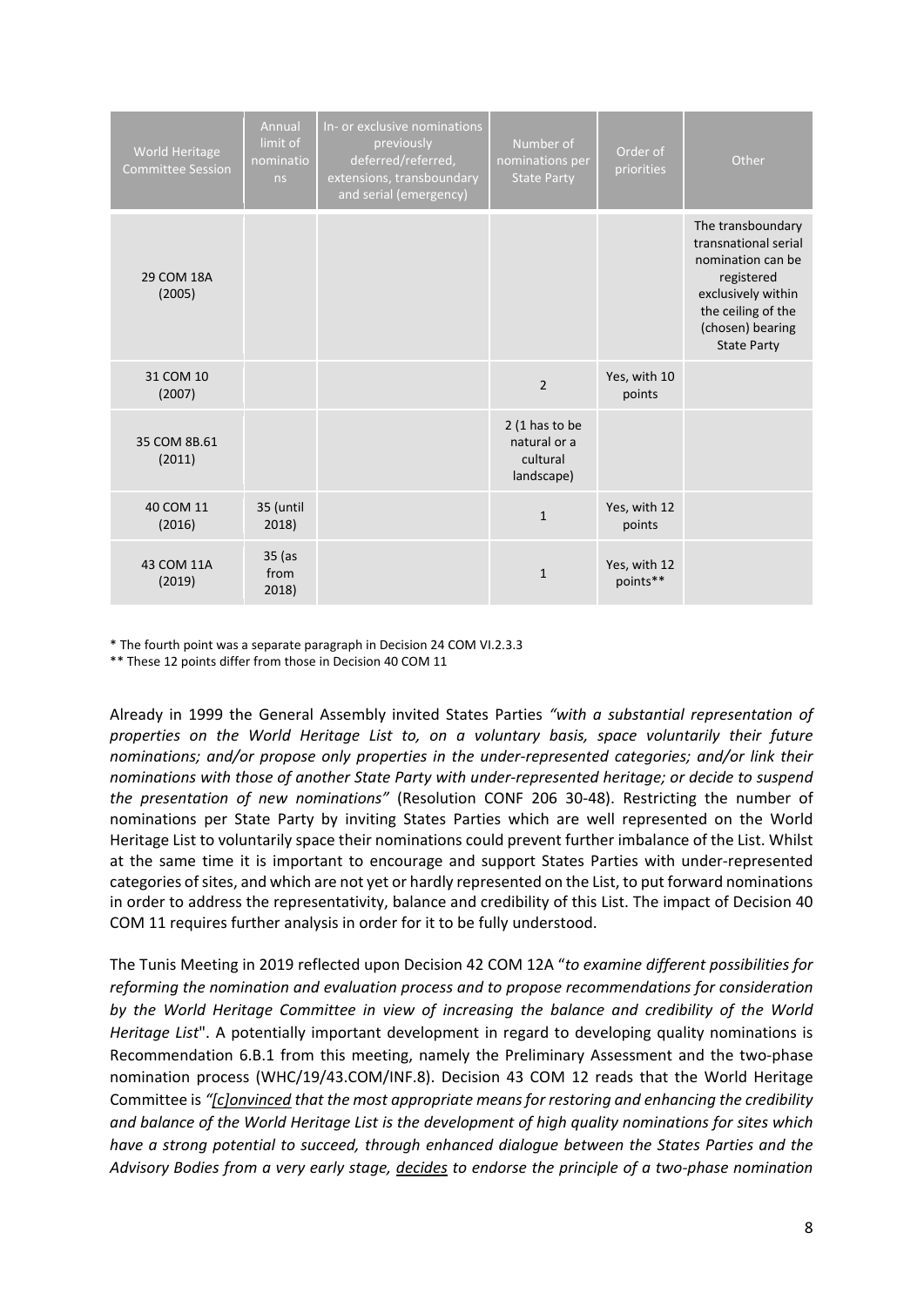| <b>World Heritage</b><br><b>Committee Session</b> | Annual<br>limit of<br>nominatio<br>ns | In- or exclusive nominations<br>previously<br>deferred/referred,<br>extensions, transboundary<br>and serial (emergency) | Number of<br>nominations per<br><b>State Party</b>        | Order of<br>priorities   | Other                                                                                                                                                              |
|---------------------------------------------------|---------------------------------------|-------------------------------------------------------------------------------------------------------------------------|-----------------------------------------------------------|--------------------------|--------------------------------------------------------------------------------------------------------------------------------------------------------------------|
| 29 COM 18A<br>(2005)                              |                                       |                                                                                                                         |                                                           |                          | The transboundary<br>transnational serial<br>nomination can be<br>registered<br>exclusively within<br>the ceiling of the<br>(chosen) bearing<br><b>State Party</b> |
| 31 COM 10<br>(2007)                               |                                       |                                                                                                                         | $\overline{2}$                                            | Yes, with 10<br>points   |                                                                                                                                                                    |
| 35 COM 8B.61<br>(2011)                            |                                       |                                                                                                                         | $2(1$ has to be<br>natural or a<br>cultural<br>landscape) |                          |                                                                                                                                                                    |
| 40 COM 11<br>(2016)                               | 35 (until<br>2018)                    |                                                                                                                         | $\mathbf{1}$                                              | Yes, with 12<br>points   |                                                                                                                                                                    |
| 43 COM 11A<br>(2019)                              | 35 (as<br>from<br>2018)               |                                                                                                                         | $\mathbf{1}$                                              | Yes, with 12<br>points** |                                                                                                                                                                    |

\* The fourth point was a separate paragraph in Decision 24 COM VI.2.3.3

\*\* These 12 points differ from those in Decision 40 COM 11

Already in 1999 the General Assembly invited States Parties *"with a substantial representation of properties on the World Heritage List to, on a voluntary basis, space voluntarily their future nominations; and/or propose only properties in the under‐represented categories; and/or link their nominations with those of another State Party with under‐represented heritage; or decide to suspend the presentation of new nominations"* (Resolution CONF 206 30‐48). Restricting the number of nominations per State Party by inviting States Parties which are well represented on the World Heritage List to voluntarily space their nominations could prevent further imbalance of the List. Whilst at the same time it is important to encourage and support States Parties with under‐represented categories of sites, and which are not yet or hardly represented on the List, to put forward nominations in order to address the representativity, balance and credibility of this List. The impact of Decision 40 COM 11 requires further analysis in order for it to be fully understood.

The Tunis Meeting in 2019 reflected upon Decision 42 COM 12A "*to examine different possibilities for reforming the nomination and evaluation process and to propose recommendations for consideration by the World Heritage Committee in view of increasing the balance and credibility of the World Heritage List*". A potentially important development in regard to developing quality nominations is Recommendation 6.B.1 from this meeting, namely the Preliminary Assessment and the two-phase nomination process (WHC/19/43.COM/INF.8). Decision 43 COM 12 reads that the World Heritage Committee is *"[c]onvinced that the most appropriate means for restoring and enhancing the credibility and balance of the World Heritage List is the development of high quality nominations for sites which have a strong potential to succeed, through enhanced dialogue between the States Parties and the* Advisory Bodies from a very early stage, decides to endorse the principle of a two-phase nomination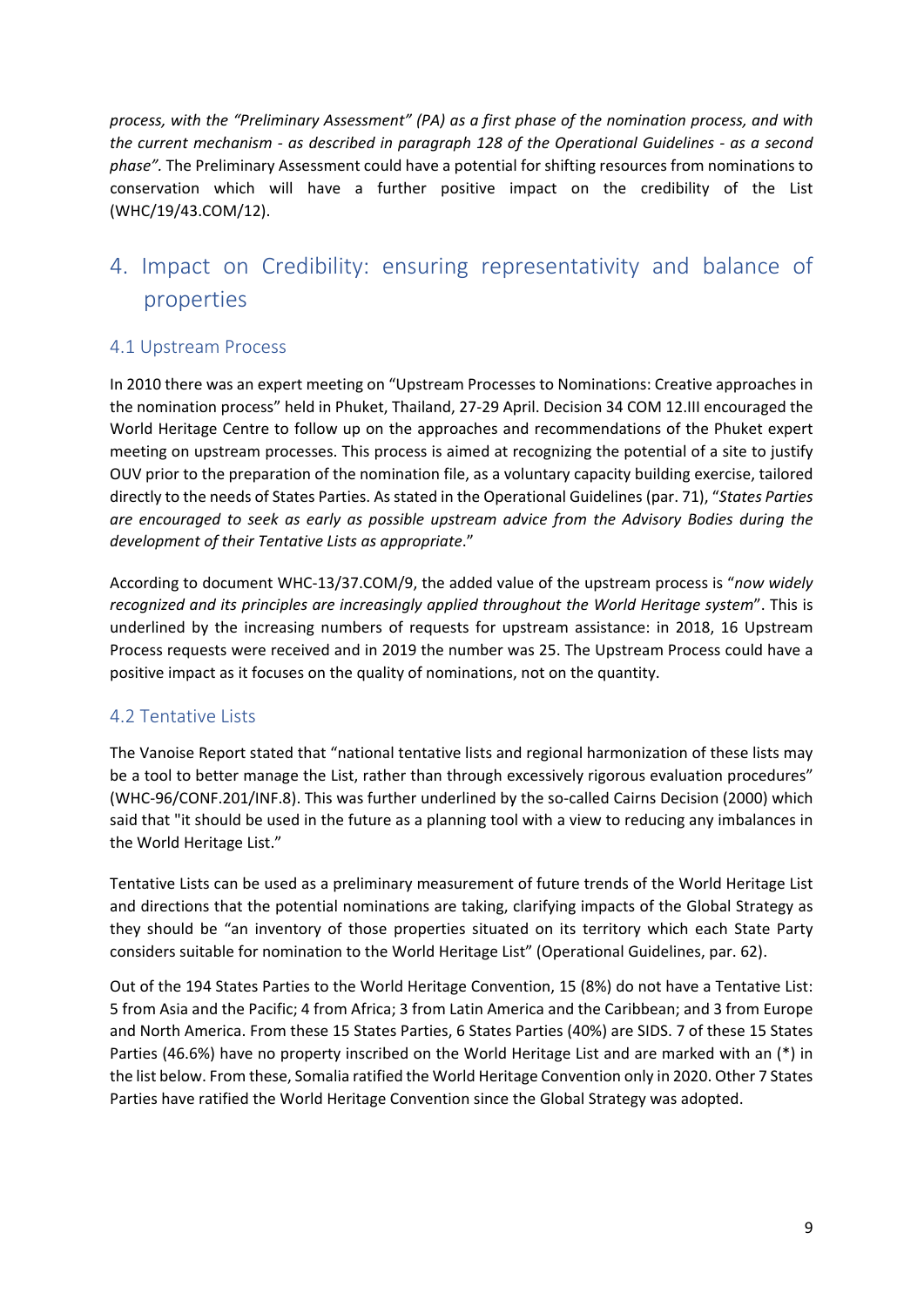*process, with the "Preliminary Assessment" (PA) as a first phase of the nomination process, and with the current mechanism ‐ as described in paragraph 128 of the Operational Guidelines ‐ as a second phase".* The Preliminary Assessment could have a potential for shifting resources from nominations to conservation which will have a further positive impact on the credibility of the List (WHC/19/43.COM/12).

# 4. Impact on Credibility: ensuring representativity and balance of properties

#### 4.1 Upstream Process

In 2010 there was an expert meeting on "Upstream Processes to Nominations: Creative approaches in the nomination process" held in Phuket, Thailand, 27‐29 April. Decision 34 COM 12.III encouraged the World Heritage Centre to follow up on the approaches and recommendations of the Phuket expert meeting on upstream processes. This process is aimed at recognizing the potential of a site to justify OUV prior to the preparation of the nomination file, as a voluntary capacity building exercise, tailored directly to the needs of States Parties. As stated in the Operational Guidelines (par. 71), "*States Parties are encouraged to seek as early as possible upstream advice from the Advisory Bodies during the development of their Tentative Lists as appropriate*."

According to document WHC‐13/37.COM/9, the added value of the upstream process is "*now widely recognized and its principles are increasingly applied throughout the World Heritage system*". This is underlined by the increasing numbers of requests for upstream assistance: in 2018, 16 Upstream Process requests were received and in 2019 the number was 25. The Upstream Process could have a positive impact as it focuses on the quality of nominations, not on the quantity.

### 4.2 Tentative Lists

The Vanoise Report stated that "national tentative lists and regional harmonization of these lists may be a tool to better manage the List, rather than through excessively rigorous evaluation procedures" (WHC-96/CONF.201/INF.8). This was further underlined by the so-called Cairns Decision (2000) which said that "it should be used in the future as a planning tool with a view to reducing any imbalances in the World Heritage List."

Tentative Lists can be used as a preliminary measurement of future trends of the World Heritage List and directions that the potential nominations are taking, clarifying impacts of the Global Strategy as they should be "an inventory of those properties situated on its territory which each State Party considers suitable for nomination to the World Heritage List" (Operational Guidelines, par. 62).

Out of the 194 States Parties to the World Heritage Convention, 15 (8%) do not have a Tentative List: 5 from Asia and the Pacific; 4 from Africa; 3 from Latin America and the Caribbean; and 3 from Europe and North America. From these 15 States Parties, 6 States Parties (40%) are SIDS. 7 of these 15 States Parties (46.6%) have no property inscribed on the World Heritage List and are marked with an (\*) in the list below. From these, Somalia ratified the World Heritage Convention only in 2020. Other 7 States Parties have ratified the World Heritage Convention since the Global Strategy was adopted.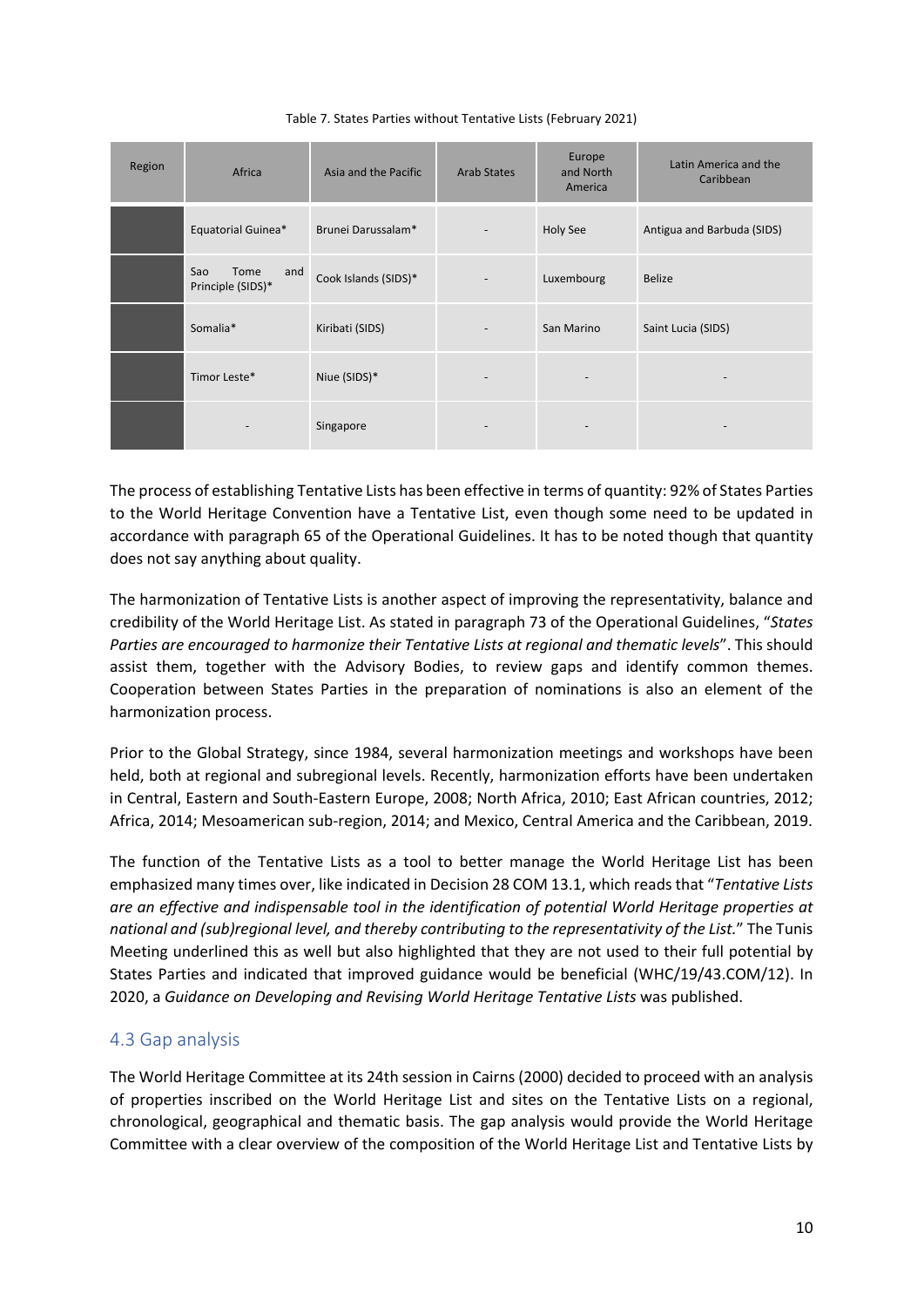| Region | Africa                                  | Asia and the Pacific | <b>Arab States</b>           | Europe<br>and North<br>America | Latin America and the<br>Caribbean |
|--------|-----------------------------------------|----------------------|------------------------------|--------------------------------|------------------------------------|
|        | Equatorial Guinea*                      | Brunei Darussalam*   | $\qquad \qquad \blacksquare$ | <b>Holy See</b>                | Antigua and Barbuda (SIDS)         |
|        | Sao<br>Tome<br>and<br>Principle (SIDS)* | Cook Islands (SIDS)* | $\overline{\phantom{a}}$     | Luxembourg                     | Belize                             |
|        | Somalia*                                | Kiribati (SIDS)      | $\overline{\phantom{a}}$     | San Marino                     | Saint Lucia (SIDS)                 |
|        | Timor Leste*                            | Niue (SIDS)*         | $\overline{\phantom{a}}$     | $\overline{\phantom{a}}$       | $\overline{\phantom{m}}$           |
|        |                                         | Singapore            | $\overline{\phantom{m}}$     | $\overline{\phantom{a}}$       |                                    |

The process of establishing Tentative Lists has been effective in terms of quantity: 92% of States Parties to the World Heritage Convention have a Tentative List, even though some need to be updated in accordance with paragraph 65 of the Operational Guidelines. It has to be noted though that quantity does not say anything about quality.

The harmonization of Tentative Lists is another aspect of improving the representativity, balance and credibility of the World Heritage List. As stated in paragraph 73 of the Operational Guidelines, "*States Parties are encouraged to harmonize their Tentative Lists at regional and thematic levels*". This should assist them, together with the Advisory Bodies, to review gaps and identify common themes. Cooperation between States Parties in the preparation of nominations is also an element of the harmonization process.

Prior to the Global Strategy, since 1984, several harmonization meetings and workshops have been held, both at regional and subregional levels. Recently, harmonization efforts have been undertaken in Central, Eastern and South‐Eastern Europe, 2008; North Africa, 2010; East African countries, 2012; Africa, 2014; Mesoamerican sub‐region, 2014; and Mexico, Central America and the Caribbean, 2019.

The function of the Tentative Lists as a tool to better manage the World Heritage List has been emphasized many times over, like indicated in Decision 28 COM 13.1, which reads that "*Tentative Lists are an effective and indispensable tool in the identification of potential World Heritage properties at national and (sub)regional level, and thereby contributing to the representativity of the List.*" The Tunis Meeting underlined this as well but also highlighted that they are not used to their full potential by States Parties and indicated that improved guidance would be beneficial (WHC/19/43.COM/12). In 2020, a *Guidance on Developing and Revising World Heritage Tentative Lists* was published.

### 4.3 Gap analysis

The World Heritage Committee at its 24th session in Cairns (2000) decided to proceed with an analysis of properties inscribed on the World Heritage List and sites on the Tentative Lists on a regional, chronological, geographical and thematic basis. The gap analysis would provide the World Heritage Committee with a clear overview of the composition of the World Heritage List and Tentative Lists by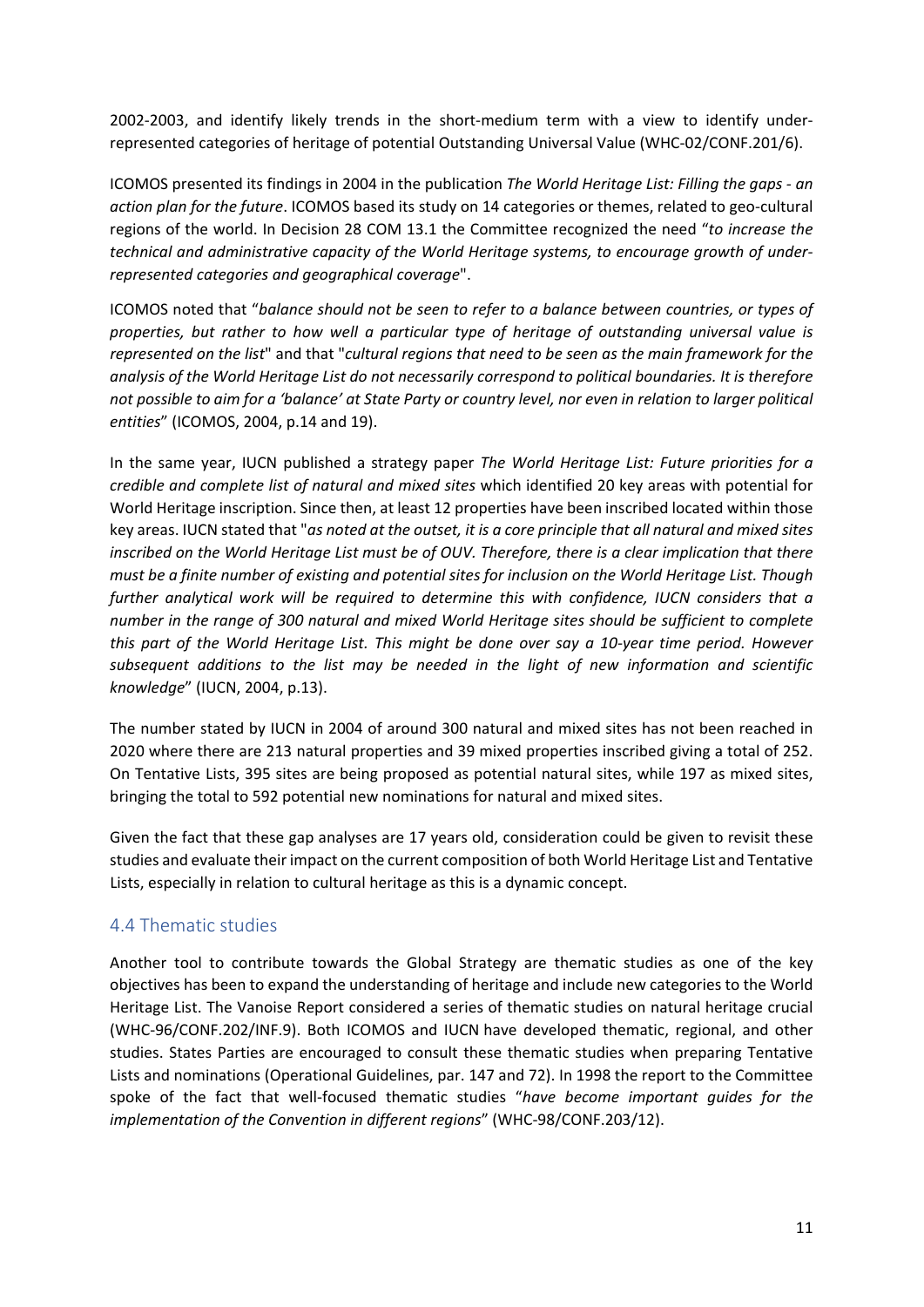2002-2003, and identify likely trends in the short-medium term with a view to identify underrepresented categories of heritage of potential Outstanding Universal Value (WHC‐02/CONF.201/6).

ICOMOS presented its findings in 2004 in the publication *The World Heritage List: Filling the gaps ‐ an action plan for the future*. ICOMOS based its study on 14 categories or themes, related to geo‐cultural regions of the world. In Decision 28 COM 13.1 the Committee recognized the need "*to increase the technical and administrative capacity of the World Heritage systems, to encourage growth of under‐ represented categories and geographical coverage*".

ICOMOS noted that "*balance should not be seen to refer to a balance between countries, or types of properties, but rather to how well a particular type of heritage of outstanding universal value is represented on the list*" and that "*cultural regions that need to be seen as the main framework for the analysis of the World Heritage List do not necessarily correspond to political boundaries. It is therefore* not possible to aim for a 'balance' at State Party or country level, nor even in relation to larger political *entities*" (ICOMOS, 2004, p.14 and 19).

In the same year, IUCN published a strategy paper *The World Heritage List: Future priorities for a credible and complete list of natural and mixed sites* which identified 20 key areas with potential for World Heritage inscription. Since then, at least 12 properties have been inscribed located within those key areas. IUCN stated that "*as noted at the outset, it is a core principle that all natural and mixed sites* inscribed on the World Heritage List must be of OUV. Therefore, there is a clear implication that there must be a finite number of existing and potential sites for inclusion on the World Heritage List. Though *further analytical work will be required to determine this with confidence, IUCN considers that a number in the range of 300 natural and mixed World Heritage sites should be sufficient to complete* this part of the World Heritage List. This might be done over say a 10-year time period. However *subsequent additions to the list may be needed in the light of new information and scientific knowledge*" (IUCN, 2004, p.13).

The number stated by IUCN in 2004 of around 300 natural and mixed sites has not been reached in 2020 where there are 213 natural properties and 39 mixed properties inscribed giving a total of 252. On Tentative Lists, 395 sites are being proposed as potential natural sites, while 197 as mixed sites, bringing the total to 592 potential new nominations for natural and mixed sites.

Given the fact that these gap analyses are 17 years old, consideration could be given to revisit these studies and evaluate their impact on the current composition of both World Heritage List and Tentative Lists, especially in relation to cultural heritage as this is a dynamic concept.

### 4.4 Thematic studies

Another tool to contribute towards the Global Strategy are thematic studies as one of the key objectives has been to expand the understanding of heritage and include new categories to the World Heritage List. The Vanoise Report considered a series of thematic studies on natural heritage crucial (WHC‐96/CONF.202/INF.9). Both ICOMOS and IUCN have developed thematic, regional, and other studies. States Parties are encouraged to consult these thematic studies when preparing Tentative Lists and nominations (Operational Guidelines, par. 147 and 72). In 1998 the report to the Committee spoke of the fact that well‐focused thematic studies "*have become important guides for the implementation of the Convention in different regions*" (WHC‐98/CONF.203/12).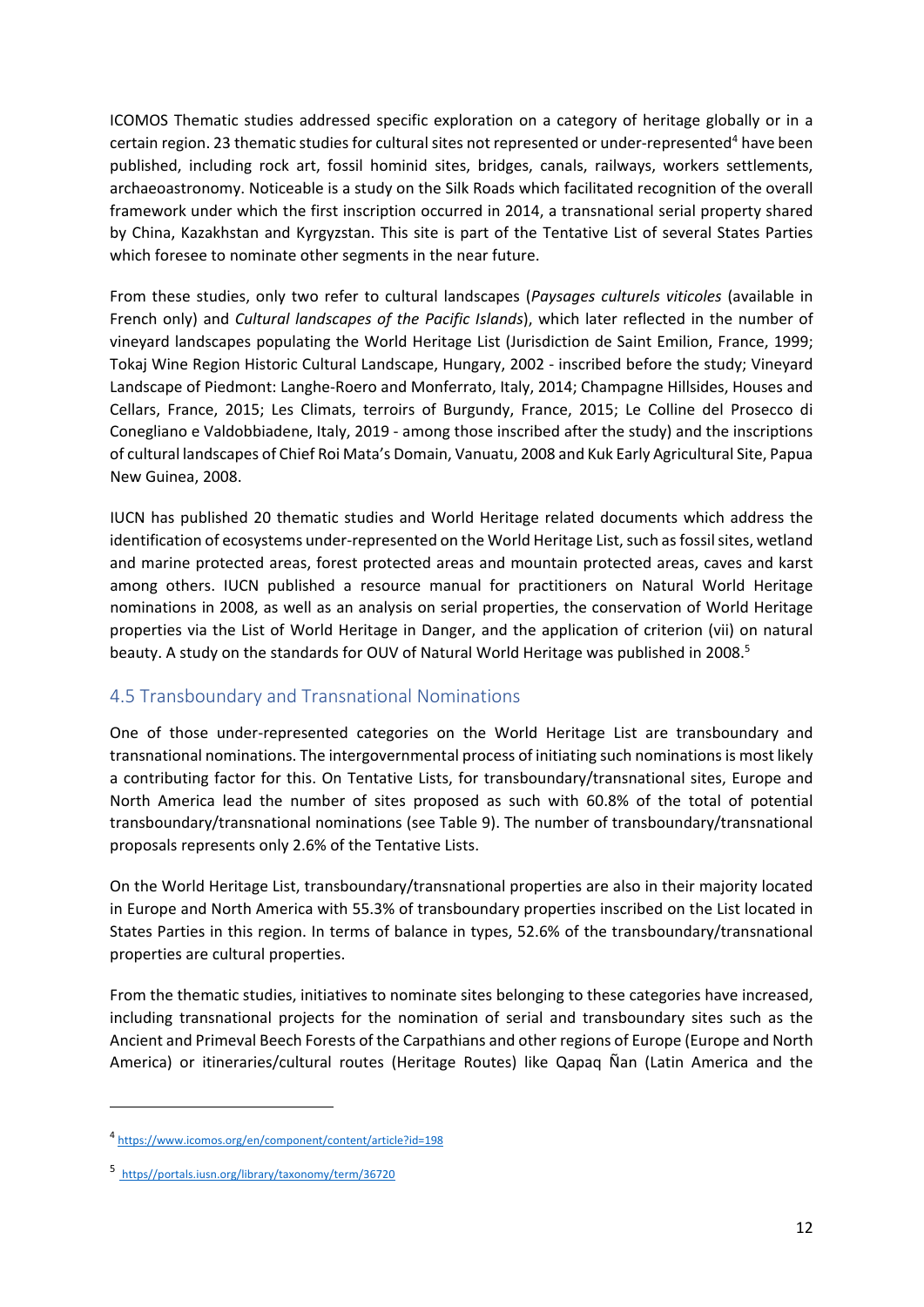ICOMOS Thematic studies addressed specific exploration on a category of heritage globally or in a certain region. 23 thematic studies for cultural sites not represented or under-represented<sup>4</sup> have been published, including rock art, fossil hominid sites, bridges, canals, railways, workers settlements, archaeoastronomy. Noticeable is a study on the Silk Roads which facilitated recognition of the overall framework under which the first inscription occurred in 2014, a transnational serial property shared by China, Kazakhstan and Kyrgyzstan. This site is part of the Tentative List of several States Parties which foresee to nominate other segments in the near future.

From these studies, only two refer to cultural landscapes (*Paysages culturels viticoles* (available in French only) and *Cultural landscapes of the Pacific Islands*), which later reflected in the number of vineyard landscapes populating the World Heritage List (Jurisdiction de Saint Emilion, France, 1999; Tokaj Wine Region Historic Cultural Landscape, Hungary, 2002 ‐ inscribed before the study; Vineyard Landscape of Piedmont: Langhe‐Roero and Monferrato, Italy, 2014; Champagne Hillsides, Houses and Cellars, France, 2015; Les Climats, terroirs of Burgundy, France, 2015; Le Colline del Prosecco di Conegliano e Valdobbiadene, Italy, 2019 ‐ among those inscribed after the study) and the inscriptions of cultural landscapes of Chief Roi Mata's Domain, Vanuatu, 2008 and Kuk Early Agricultural Site, Papua New Guinea, 2008.

IUCN has published 20 thematic studies and World Heritage related documents which address the identification of ecosystems under-represented on the World Heritage List, such as fossil sites, wetland and marine protected areas, forest protected areas and mountain protected areas, caves and karst among others. IUCN published a resource manual for practitioners on Natural World Heritage nominations in 2008, as well as an analysis on serial properties, the conservation of World Heritage properties via the List of World Heritage in Danger, and the application of criterion (vii) on natural beauty. A study on the standards for OUV of Natural World Heritage was published in 2008.<sup>5</sup>

### 4.5 Transboundary and Transnational Nominations

One of those under‐represented categories on the World Heritage List are transboundary and transnational nominations. The intergovernmental process of initiating such nominationsis most likely a contributing factor for this. On Tentative Lists, for transboundary/transnational sites, Europe and North America lead the number of sites proposed as such with 60.8% of the total of potential transboundary/transnational nominations (see Table 9). The number of transboundary/transnational proposals represents only 2.6% of the Tentative Lists.

On the World Heritage List, transboundary/transnational properties are also in their majority located in Europe and North America with 55.3% of transboundary properties inscribed on the List located in States Parties in this region. In terms of balance in types, 52.6% of the transboundary/transnational properties are cultural properties.

From the thematic studies, initiatives to nominate sites belonging to these categories have increased, including transnational projects for the nomination of serial and transboundary sites such as the Ancient and Primeval Beech Forests of the Carpathians and other regions of Europe (Europe and North America) or itineraries/cultural routes (Heritage Routes) like Qapaq Ñan (Latin America and the

<sup>4</sup> https://www.icomos.org/en/component/content/article?id=198

<sup>5</sup> https//portals.iusn.org/library/taxonomy/term/36720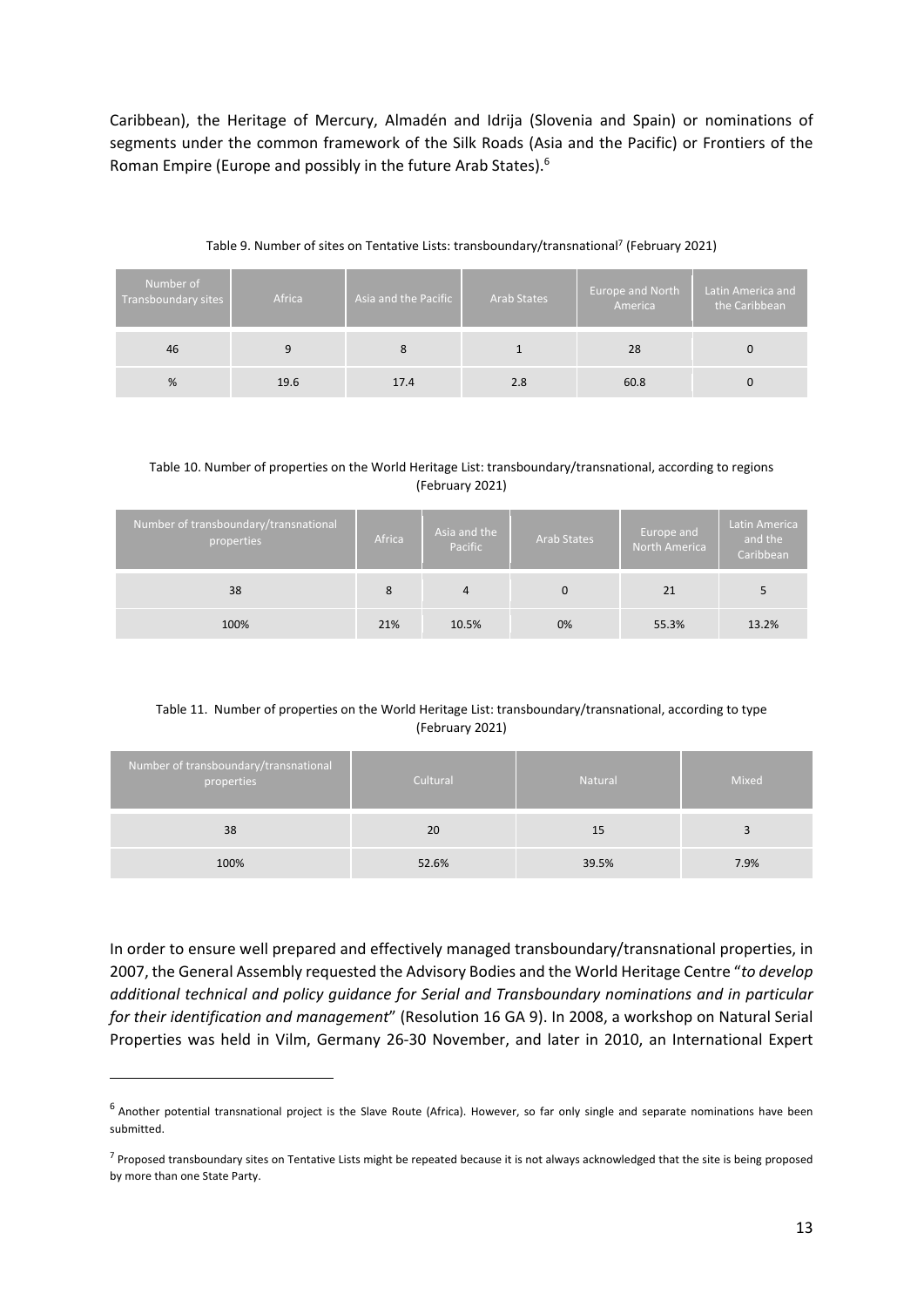Caribbean), the Heritage of Mercury, Almadén and Idrija (Slovenia and Spain) or nominations of segments under the common framework of the Silk Roads (Asia and the Pacific) or Frontiers of the Roman Empire (Europe and possibly in the future Arab States).6

| Number of<br>Transboundary sites | Africa | Asia and the Pacific | <b>Arab States</b> | Europe and North<br>America | Latin America and<br>the Caribbean |
|----------------------------------|--------|----------------------|--------------------|-----------------------------|------------------------------------|
| 46                               | 9      | 8                    |                    | 28                          |                                    |
| %                                | 19.6   | 17.4                 | 2.8                | 60.8                        |                                    |

Table 9. Number of sites on Tentative Lists: transboundary/transnational<sup>7</sup> (February 2021)

#### Table 10. Number of properties on the World Heritage List: transboundary/transnational, according to regions (February 2021)

| Number of transboundary/transnational<br>properties | Africa | Asia and the<br>Pacific | <b>Arab States</b> | Europe and<br>North America | Latin America<br>and the<br>Caribbean |
|-----------------------------------------------------|--------|-------------------------|--------------------|-----------------------------|---------------------------------------|
| 38                                                  | 8      | 4                       | 0                  | 21                          |                                       |
| 100%                                                | 21%    | 10.5%                   | 0%                 | 55.3%                       | 13.2%                                 |

#### Table 11. Number of properties on the World Heritage List: transboundary/transnational, according to type (February 2021)

| Number of transboundary/transnational<br>properties | Cultural | <b>Natural</b> | Mixed |
|-----------------------------------------------------|----------|----------------|-------|
| 38                                                  | 20       | 15             |       |
| 100%                                                | 52.6%    | 39.5%          | 7.9%  |

In order to ensure well prepared and effectively managed transboundary/transnational properties, in 2007, the General Assembly requested the Advisory Bodies and the World Heritage Centre "*to develop additional technical and policy guidance for Serial and Transboundary nominations and in particular for their identification and management*" (Resolution 16 GA 9). In 2008, a workshop on Natural Serial Properties was held in Vilm, Germany 26‐30 November, and later in 2010, an International Expert

<sup>&</sup>lt;sup>6</sup> Another potential transnational project is the Slave Route (Africa). However, so far only single and separate nominations have been submitted.

 $<sup>7</sup>$  Proposed transboundary sites on Tentative Lists might be repeated because it is not always acknowledged that the site is being proposed</sup> by more than one State Party.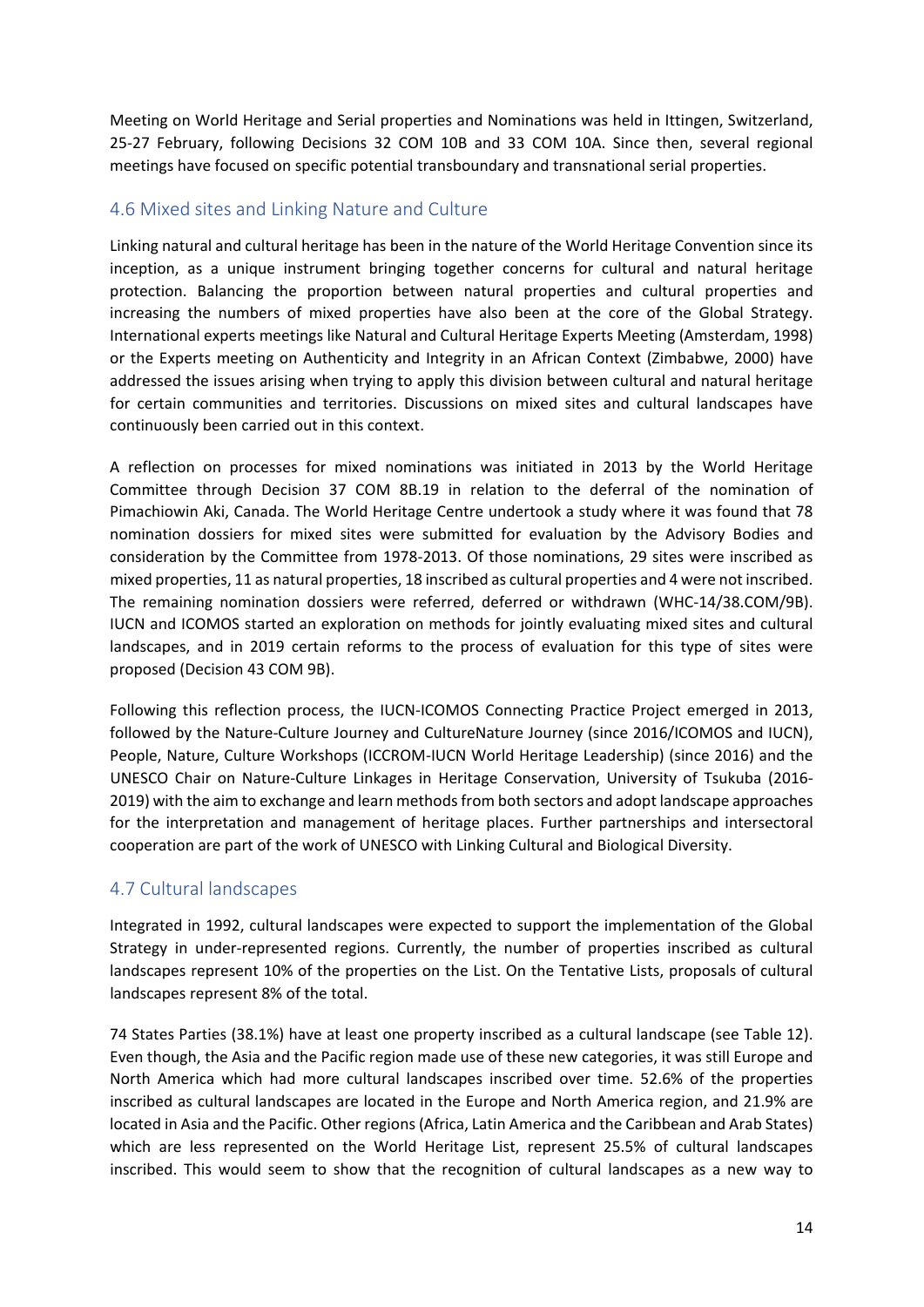Meeting on World Heritage and Serial properties and Nominations was held in Ittingen, Switzerland, 25‐27 February, following Decisions 32 COM 10B and 33 COM 10A. Since then, several regional meetings have focused on specific potential transboundary and transnational serial properties.

#### 4.6 Mixed sites and Linking Nature and Culture

Linking natural and cultural heritage has been in the nature of the World Heritage Convention since its inception, as a unique instrument bringing together concerns for cultural and natural heritage protection. Balancing the proportion between natural properties and cultural properties and increasing the numbers of mixed properties have also been at the core of the Global Strategy. International experts meetings like Natural and Cultural Heritage Experts Meeting (Amsterdam, 1998) or the Experts meeting on Authenticity and Integrity in an African Context (Zimbabwe, 2000) have addressed the issues arising when trying to apply this division between cultural and natural heritage for certain communities and territories. Discussions on mixed sites and cultural landscapes have continuously been carried out in this context.

A reflection on processes for mixed nominations was initiated in 2013 by the World Heritage Committee through Decision 37 COM 8B.19 in relation to the deferral of the nomination of Pimachiowin Aki, Canada. The World Heritage Centre undertook a study where it was found that 78 nomination dossiers for mixed sites were submitted for evaluation by the Advisory Bodies and consideration by the Committee from 1978‐2013. Of those nominations, 29 sites were inscribed as mixed properties, 11 as natural properties, 18 inscribed as cultural properties and 4 were not inscribed. The remaining nomination dossiers were referred, deferred or withdrawn (WHC‐14/38.COM/9B). IUCN and ICOMOS started an exploration on methods for jointly evaluating mixed sites and cultural landscapes, and in 2019 certain reforms to the process of evaluation for this type of sites were proposed (Decision 43 COM 9B).

Following this reflection process, the IUCN-ICOMOS Connecting Practice Project emerged in 2013, followed by the Nature-Culture Journey and CultureNature Journey (since 2016/ICOMOS and IUCN), People, Nature, Culture Workshops (ICCROM‐IUCN World Heritage Leadership) (since 2016) and the UNESCO Chair on Nature‐Culture Linkages in Heritage Conservation, University of Tsukuba (2016‐ 2019) with the aim to exchange and learn methods from both sectors and adopt landscape approaches for the interpretation and management of heritage places. Further partnerships and intersectoral cooperation are part of the work of UNESCO with Linking Cultural and Biological Diversity.

### 4.7 Cultural landscapes

Integrated in 1992, cultural landscapes were expected to support the implementation of the Global Strategy in under-represented regions. Currently, the number of properties inscribed as cultural landscapes represent 10% of the properties on the List. On the Tentative Lists, proposals of cultural landscapes represent 8% of the total.

74 States Parties (38.1%) have at least one property inscribed as a cultural landscape (see Table 12). Even though, the Asia and the Pacific region made use of these new categories, it was still Europe and North America which had more cultural landscapes inscribed over time. 52.6% of the properties inscribed as cultural landscapes are located in the Europe and North America region, and 21.9% are located in Asia and the Pacific. Other regions(Africa, Latin America and the Caribbean and Arab States) which are less represented on the World Heritage List, represent 25.5% of cultural landscapes inscribed. This would seem to show that the recognition of cultural landscapes as a new way to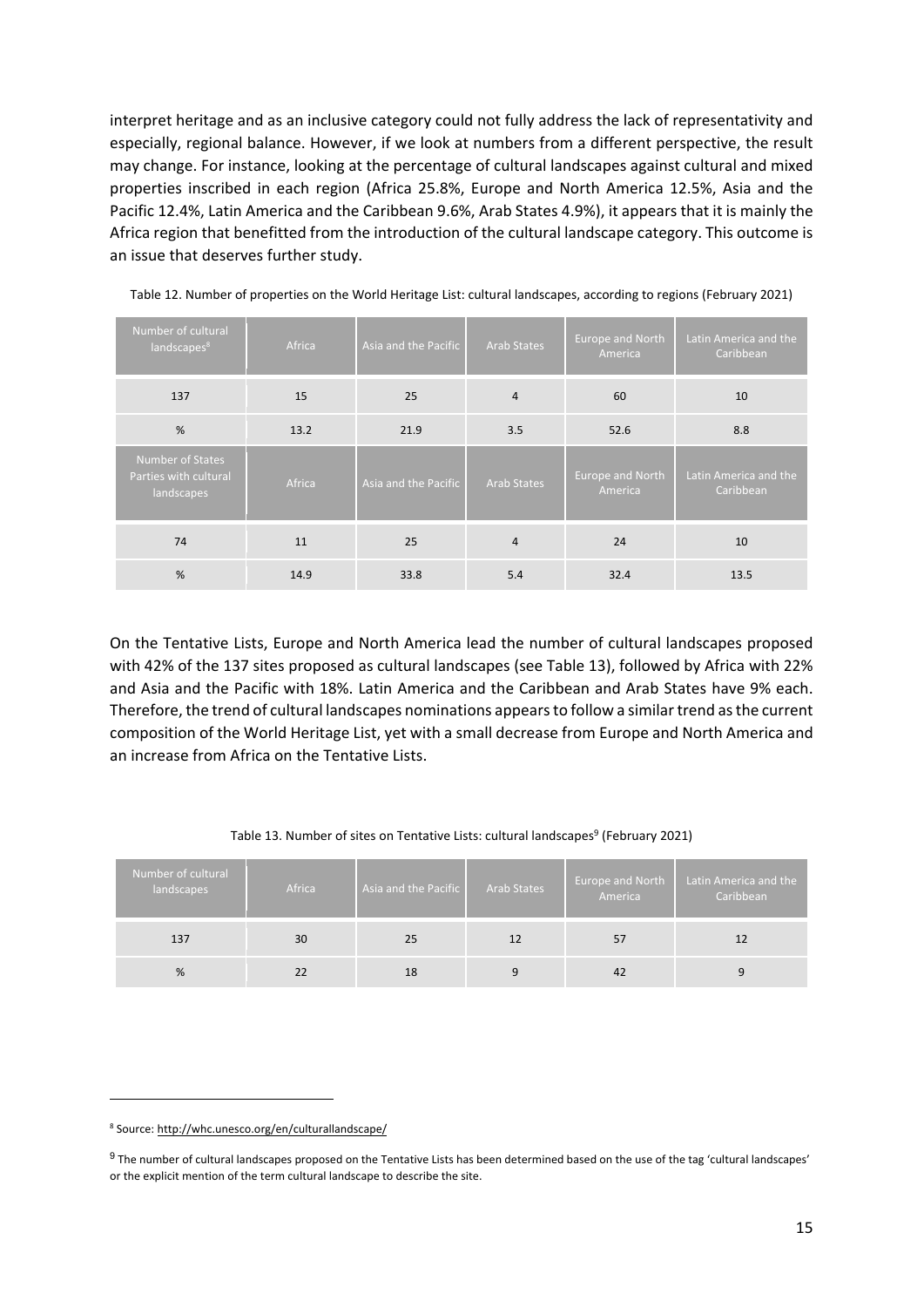interpret heritage and as an inclusive category could not fully address the lack of representativity and especially, regional balance. However, if we look at numbers from a different perspective, the result may change. For instance, looking at the percentage of cultural landscapes against cultural and mixed properties inscribed in each region (Africa 25.8%, Europe and North America 12.5%, Asia and the Pacific 12.4%, Latin America and the Caribbean 9.6%, Arab States 4.9%), it appears that it is mainly the Africa region that benefitted from the introduction of the cultural landscape category. This outcome is an issue that deserves further study.

| Number of cultural<br>landscapes <sup>8</sup>                  | Africa | Asia and the Pacific | <b>Arab States</b> | Europe and North<br>America | Latin America and the<br>Caribbean |
|----------------------------------------------------------------|--------|----------------------|--------------------|-----------------------------|------------------------------------|
| 137                                                            | 15     | 25                   | $\overline{4}$     | 60                          | 10                                 |
| %                                                              | 13.2   | 21.9                 | 3.5                | 52.6                        | 8.8                                |
| <b>Number of States</b><br>Parties with cultural<br>landscapes | Africa | Asia and the Pacific | <b>Arab States</b> | Europe and North<br>America | Latin America and the<br>Caribbean |
| 74                                                             | 11     | 25                   | $\overline{4}$     | 24                          | 10                                 |
| %                                                              | 14.9   | 33.8                 | 5.4                | 32.4                        | 13.5                               |

Table 12. Number of properties on the World Heritage List: cultural landscapes, according to regions (February 2021)

On the Tentative Lists, Europe and North America lead the number of cultural landscapes proposed with 42% of the 137 sites proposed as cultural landscapes (see Table 13), followed by Africa with 22% and Asia and the Pacific with 18%. Latin America and the Caribbean and Arab States have 9% each. Therefore, the trend of cultural landscapes nominations appearsto follow a similartrend asthe current composition of the World Heritage List, yet with a small decrease from Europe and North America and an increase from Africa on the Tentative Lists.

#### Table 13. Number of sites on Tentative Lists: cultural landscapes<sup>9</sup> (February 2021)

| Number of cultural<br>landscapes | Africa | Asia and the Pacific | <b>Arab States</b> | Europe and North<br>America | Latin America and the<br>Caribbean |
|----------------------------------|--------|----------------------|--------------------|-----------------------------|------------------------------------|
| 137                              | 30     | 25                   | 12                 | 57                          |                                    |
| %                                | 22     | 18                   |                    | 42                          | 9                                  |

<sup>8</sup> Source: http://whc.unesco.org/en/culturallandscape/

<sup>&</sup>lt;sup>9</sup> The number of cultural landscapes proposed on the Tentative Lists has been determined based on the use of the tag 'cultural landscapes' or the explicit mention of the term cultural landscape to describe the site.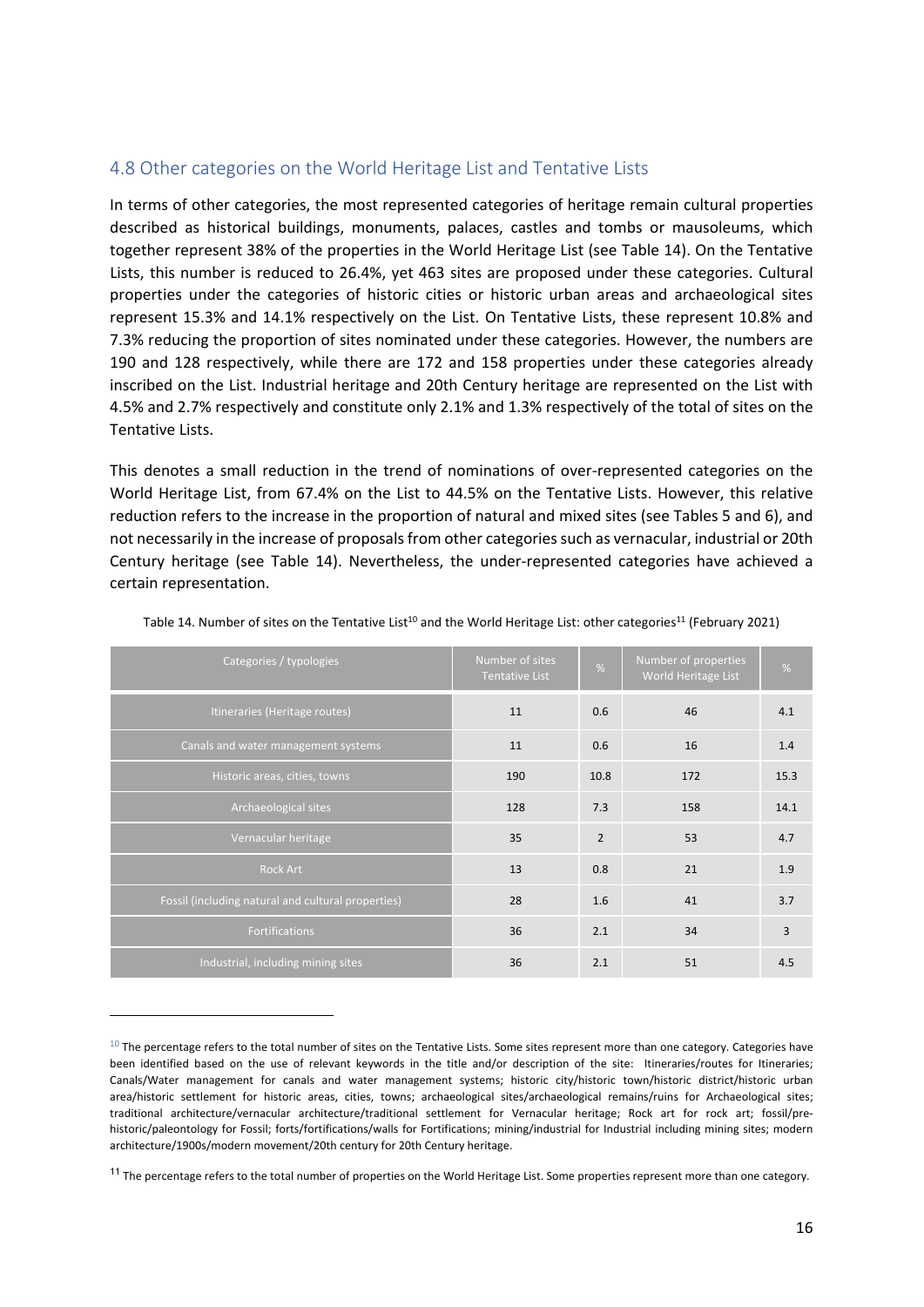#### 4.8 Other categories on the World Heritage List and Tentative Lists

In terms of other categories, the most represented categories of heritage remain cultural properties described as historical buildings, monuments, palaces, castles and tombs or mausoleums, which together represent 38% of the properties in the World Heritage List (see Table 14). On the Tentative Lists, this number is reduced to 26.4%, yet 463 sites are proposed under these categories. Cultural properties under the categories of historic cities or historic urban areas and archaeological sites represent 15.3% and 14.1% respectively on the List. On Tentative Lists, these represent 10.8% and 7.3% reducing the proportion of sites nominated under these categories. However, the numbers are 190 and 128 respectively, while there are 172 and 158 properties under these categories already inscribed on the List. Industrial heritage and 20th Century heritage are represented on the List with 4.5% and 2.7% respectively and constitute only 2.1% and 1.3% respectively of the total of sites on the Tentative Lists.

This denotes a small reduction in the trend of nominations of over-represented categories on the World Heritage List, from 67.4% on the List to 44.5% on the Tentative Lists. However, this relative reduction refers to the increase in the proportion of natural and mixed sites (see Tables 5 and 6), and not necessarily in the increase of proposals from other categories such as vernacular, industrial or 20th Century heritage (see Table 14). Nevertheless, the under‐represented categories have achieved a certain representation.

| Categories / typologies                            | Number of sites<br><b>Tentative List</b> | $\frac{9}{6}$  | Number of properties<br>World Heritage List | %    |
|----------------------------------------------------|------------------------------------------|----------------|---------------------------------------------|------|
| Itineraries (Heritage routes)                      | 11                                       | 0.6            | 46                                          | 4.1  |
| Canals and water management systems                | 11                                       | 0.6            | 16                                          | 1.4  |
| Historic areas, cities, towns                      | 190                                      | 10.8           | 172                                         | 15.3 |
| Archaeological sites                               | 128                                      | 7.3            | 158                                         | 14.1 |
| Vernacular heritage                                | 35                                       | $\overline{2}$ | 53                                          | 4.7  |
| <b>Rock Art</b>                                    | 13                                       | 0.8            | 21                                          | 1.9  |
| Fossil (including natural and cultural properties) | 28                                       | 1.6            | 41                                          | 3.7  |
| <b>Fortifications</b>                              | 36                                       | 2.1            | 34                                          | 3    |
| Industrial, including mining sites                 | 36                                       | 2.1            | 51                                          | 4.5  |

Table 14. Number of sites on the Tentative List<sup>10</sup> and the World Heritage List: other categories<sup>11</sup> (February 2021)

 $10$  The percentage refers to the total number of sites on the Tentative Lists. Some sites represent more than one category. Categories have been identified based on the use of relevant keywords in the title and/or description of the site: Itineraries/routes for Itineraries; Canals/Water management for canals and water management systems; historic city/historic town/historic district/historic urban area/historic settlement for historic areas, cities, towns; archaeological sites/archaeological remains/ruins for Archaeological sites; traditional architecture/vernacular architecture/traditional settlement for Vernacular heritage; Rock art for rock art; fossil/pre‐ historic/paleontology for Fossil; forts/fortifications/walls for Fortifications; mining/industrial for Industrial including mining sites; modern architecture/1900s/modern movement/20th century for 20th Century heritage.

<sup>&</sup>lt;sup>11</sup> The percentage refers to the total number of properties on the World Heritage List. Some properties represent more than one category.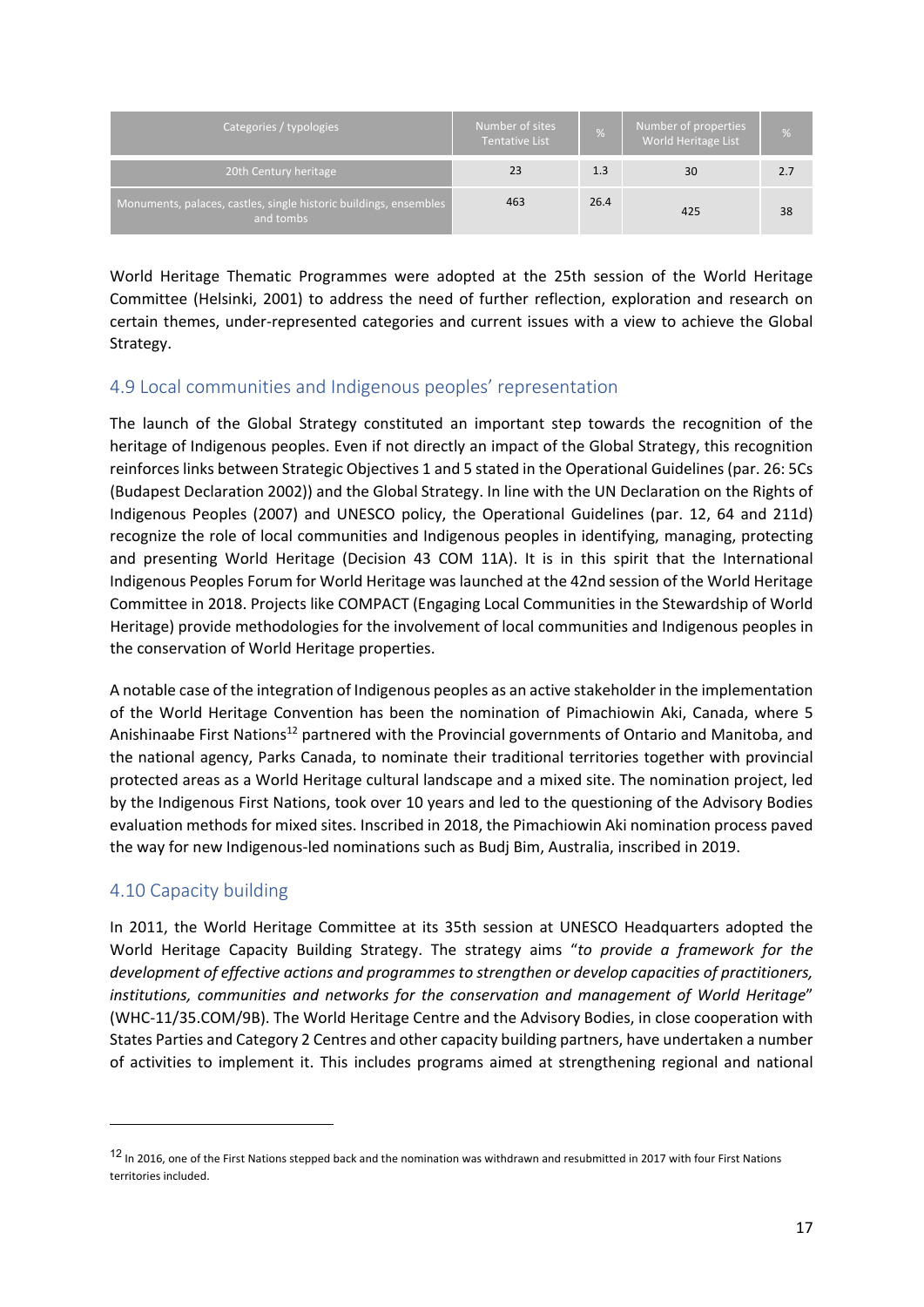| Categories / typologies                                                        | Number of sites<br><b>Tentative List</b> | %    | Number of properties<br>World Heritage List | %   |
|--------------------------------------------------------------------------------|------------------------------------------|------|---------------------------------------------|-----|
| 20th Century heritage                                                          | 23                                       | 1.3  | 30                                          | 2.7 |
| Monuments, palaces, castles, single historic buildings, ensembles<br>and tombs | 463                                      | 26.4 | 425                                         | 38  |

World Heritage Thematic Programmes were adopted at the 25th session of the World Heritage Committee (Helsinki, 2001) to address the need of further reflection, exploration and research on certain themes, under‐represented categories and current issues with a view to achieve the Global Strategy.

#### 4.9 Local communities and Indigenous peoples' representation

The launch of the Global Strategy constituted an important step towards the recognition of the heritage of Indigenous peoples. Even if not directly an impact of the Global Strategy, this recognition reinforceslinks between Strategic Objectives 1 and 5 stated in the Operational Guidelines(par. 26: 5Cs (Budapest Declaration 2002)) and the Global Strategy. In line with the UN Declaration on the Rights of Indigenous Peoples (2007) and UNESCO policy, the Operational Guidelines (par. 12, 64 and 211d) recognize the role of local communities and Indigenous peoples in identifying, managing, protecting and presenting World Heritage (Decision 43 COM 11A). It is in this spirit that the International Indigenous Peoples Forum for World Heritage was launched at the 42nd session of the World Heritage Committee in 2018. Projects like COMPACT (Engaging Local Communities in the Stewardship of World Heritage) provide methodologies for the involvement of local communities and Indigenous peoples in the conservation of World Heritage properties.

A notable case of the integration of Indigenous peoples as an active stakeholder in the implementation of the World Heritage Convention has been the nomination of Pimachiowin Aki, Canada, where 5 Anishinaabe First Nations<sup>12</sup> partnered with the Provincial governments of Ontario and Manitoba, and the national agency, Parks Canada, to nominate their traditional territories together with provincial protected areas as a World Heritage cultural landscape and a mixed site. The nomination project, led by the Indigenous First Nations, took over 10 years and led to the questioning of the Advisory Bodies evaluation methods for mixed sites. Inscribed in 2018, the Pimachiowin Aki nomination process paved the way for new Indigenous‐led nominations such as Budj Bim, Australia, inscribed in 2019.

### 4.10 Capacity building

In 2011, the World Heritage Committee at its 35th session at UNESCO Headquarters adopted the World Heritage Capacity Building Strategy. The strategy aims "*to provide a framework for the development of effective actions and programmes to strengthen or develop capacities of practitioners, institutions, communities and networks for the conservation and management of World Heritage*" (WHC‐11/35.COM/9B). The World Heritage Centre and the Advisory Bodies, in close cooperation with States Parties and Category 2 Centres and other capacity building partners, have undertaken a number of activities to implement it. This includes programs aimed at strengthening regional and national

<sup>12</sup> In 2016, one of the First Nations stepped back and the nomination was withdrawn and resubmitted in 2017 with four First Nations territories included.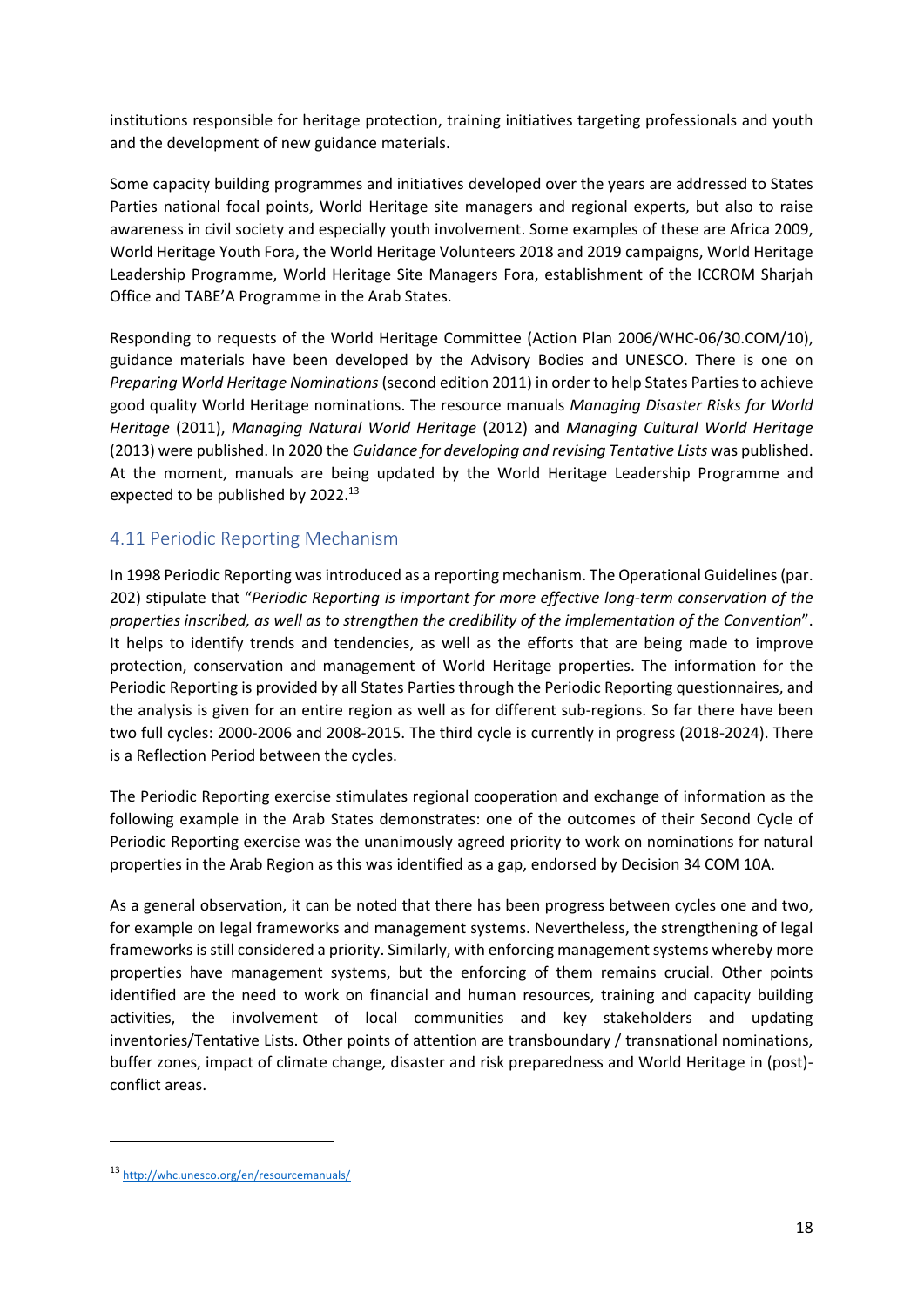institutions responsible for heritage protection, training initiatives targeting professionals and youth and the development of new guidance materials.

Some capacity building programmes and initiatives developed over the years are addressed to States Parties national focal points, World Heritage site managers and regional experts, but also to raise awareness in civil society and especially youth involvement. Some examples of these are Africa 2009, World Heritage Youth Fora, the World Heritage Volunteers 2018 and 2019 campaigns, World Heritage Leadership Programme, World Heritage Site Managers Fora, establishment of the ICCROM Sharjah Office and TABE'A Programme in the Arab States.

Responding to requests of the World Heritage Committee (Action Plan 2006/WHC‐06/30.COM/10), guidance materials have been developed by the Advisory Bodies and UNESCO. There is one on *Preparing World Heritage Nominations* (second edition 2011) in order to help States Parties to achieve good quality World Heritage nominations. The resource manuals *Managing Disaster Risks for World Heritage* (2011), *Managing Natural World Heritage* (2012) and *Managing Cultural World Heritage* (2013) were published. In 2020 the *Guidance for developing and revising Tentative Lists* was published. At the moment, manuals are being updated by the World Heritage Leadership Programme and expected to be published by 2022.<sup>13</sup>

### 4.11 Periodic Reporting Mechanism

In 1998 Periodic Reporting wasintroduced as a reporting mechanism. The Operational Guidelines(par. 202) stipulate that "*Periodic Reporting is important for more effective long‐term conservation of the properties inscribed, as well as to strengthen the credibility of the implementation of the Convention*". It helps to identify trends and tendencies, as well as the efforts that are being made to improve protection, conservation and management of World Heritage properties. The information for the Periodic Reporting is provided by all States Parties through the Periodic Reporting questionnaires, and the analysis is given for an entire region as well as for different sub‐regions. So far there have been two full cycles: 2000‐2006 and 2008‐2015. The third cycle is currently in progress (2018‐2024). There is a Reflection Period between the cycles.

The Periodic Reporting exercise stimulates regional cooperation and exchange of information as the following example in the Arab States demonstrates: one of the outcomes of their Second Cycle of Periodic Reporting exercise was the unanimously agreed priority to work on nominations for natural properties in the Arab Region as this was identified as a gap, endorsed by Decision 34 COM 10A.

As a general observation, it can be noted that there has been progress between cycles one and two, for example on legal frameworks and management systems. Nevertheless, the strengthening of legal frameworks is still considered a priority. Similarly, with enforcing management systems whereby more properties have management systems, but the enforcing of them remains crucial. Other points identified are the need to work on financial and human resources, training and capacity building activities, the involvement of local communities and key stakeholders and updating inventories/Tentative Lists. Other points of attention are transboundary / transnational nominations, buffer zones, impact of climate change, disaster and risk preparedness and World Heritage in (post)conflict areas.

<sup>13</sup> http://whc.unesco.org/en/resourcemanuals/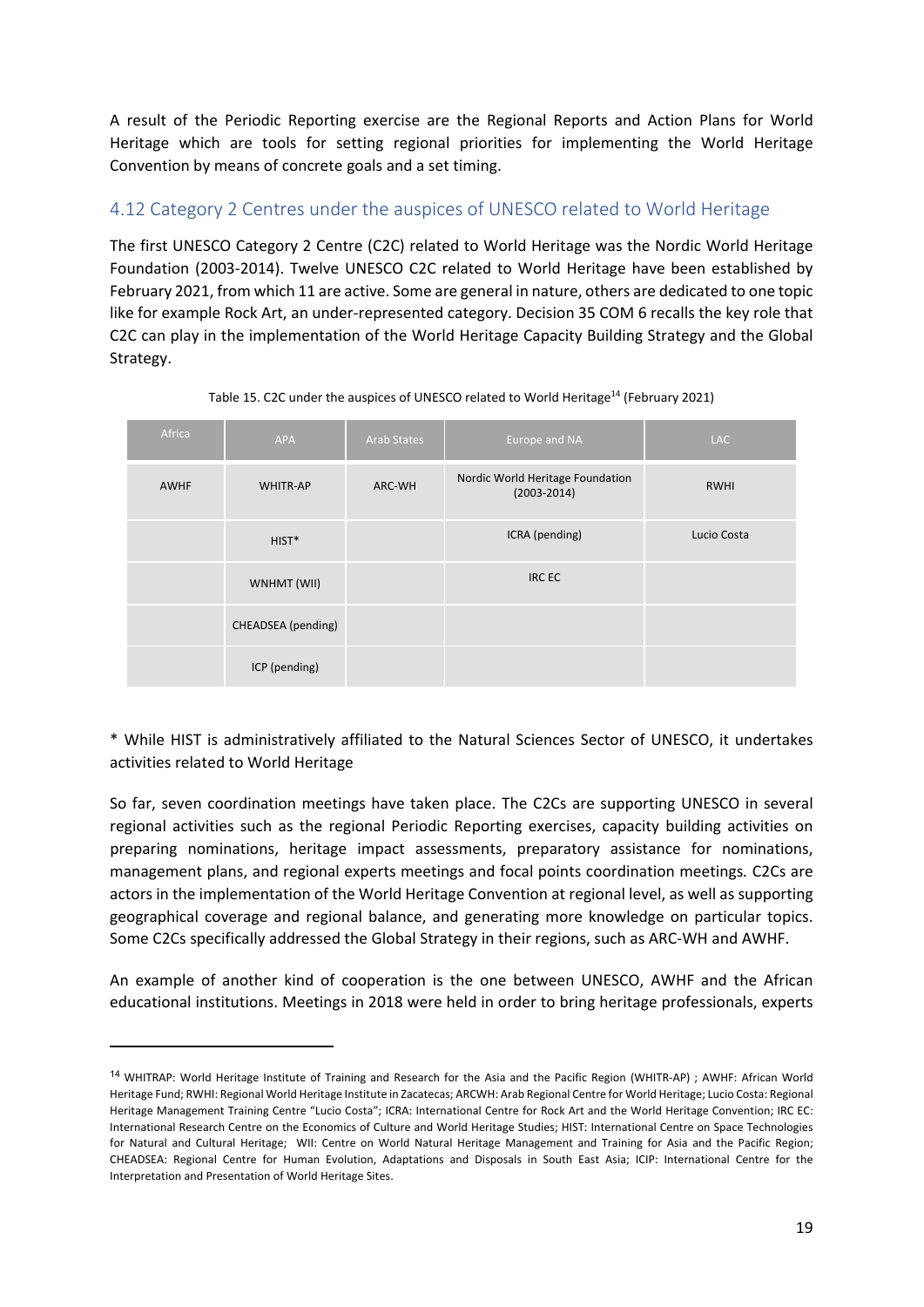A result of the Periodic Reporting exercise are the Regional Reports and Action Plans for World Heritage which are tools for setting regional priorities for implementing the World Heritage Convention by means of concrete goals and a set timing.

#### 4.12 Category 2 Centres under the auspices of UNESCO related to World Heritage

The first UNESCO Category 2 Centre (C2C) related to World Heritage was the Nordic World Heritage Foundation (2003‐2014). Twelve UNESCO C2C related to World Heritage have been established by February 2021, from which 11 are active. Some are general in nature, others are dedicated to one topic like for example Rock Art, an under‐represented category. Decision 35 COM 6 recalls the key role that C2C can play in the implementation of the World Heritage Capacity Building Strategy and the Global Strategy.

| Africa      | <b>APA</b>         | <b>Arab States</b> | Europe and NA                                       | <b>LAC</b>  |
|-------------|--------------------|--------------------|-----------------------------------------------------|-------------|
| <b>AWHF</b> | <b>WHITR-AP</b>    | ARC-WH             | Nordic World Heritage Foundation<br>$(2003 - 2014)$ | <b>RWHI</b> |
|             | $HIST*$            |                    | ICRA (pending)                                      | Lucio Costa |
|             | WNHMT (WII)        |                    | <b>IRCEC</b>                                        |             |
|             | CHEADSEA (pending) |                    |                                                     |             |
|             | ICP (pending)      |                    |                                                     |             |

Table 15. C2C under the auspices of UNESCO related to World Heritage<sup>14</sup> (February 2021)

\* While HIST is administratively affiliated to the Natural Sciences Sector of UNESCO, it undertakes activities related to World Heritage

So far, seven coordination meetings have taken place. The C2Cs are supporting UNESCO in several regional activities such as the regional Periodic Reporting exercises, capacity building activities on preparing nominations, heritage impact assessments, preparatory assistance for nominations, management plans, and regional experts meetings and focal points coordination meetings*.* C2Cs are actors in the implementation of the World Heritage Convention at regional level, as well as supporting geographical coverage and regional balance, and generating more knowledge on particular topics. Some C2Cs specifically addressed the Global Strategy in their regions, such as ARC‐WH and AWHF.

An example of another kind of cooperation is the one between UNESCO, AWHF and the African educational institutions. Meetings in 2018 were held in order to bring heritage professionals, experts

<sup>14</sup> WHITRAP: World Heritage Institute of Training and Research for the Asia and the Pacific Region (WHITR‐AP) ; AWHF: African World Heritage Fund; RWHI: Regional World Heritage Institute in Zacatecas; ARCWH: Arab Regional Centre for World Heritage; Lucio Costa: Regional Heritage Management Training Centre "Lucio Costa"; ICRA: International Centre for Rock Art and the World Heritage Convention; IRC EC: International Research Centre on the Economics of Culture and World Heritage Studies; HIST: International Centre on Space Technologies for Natural and Cultural Heritage; WII: Centre on World Natural Heritage Management and Training for Asia and the Pacific Region; CHEADSEA: Regional Centre for Human Evolution, Adaptations and Disposals in South East Asia; ICIP: International Centre for the Interpretation and Presentation of World Heritage Sites.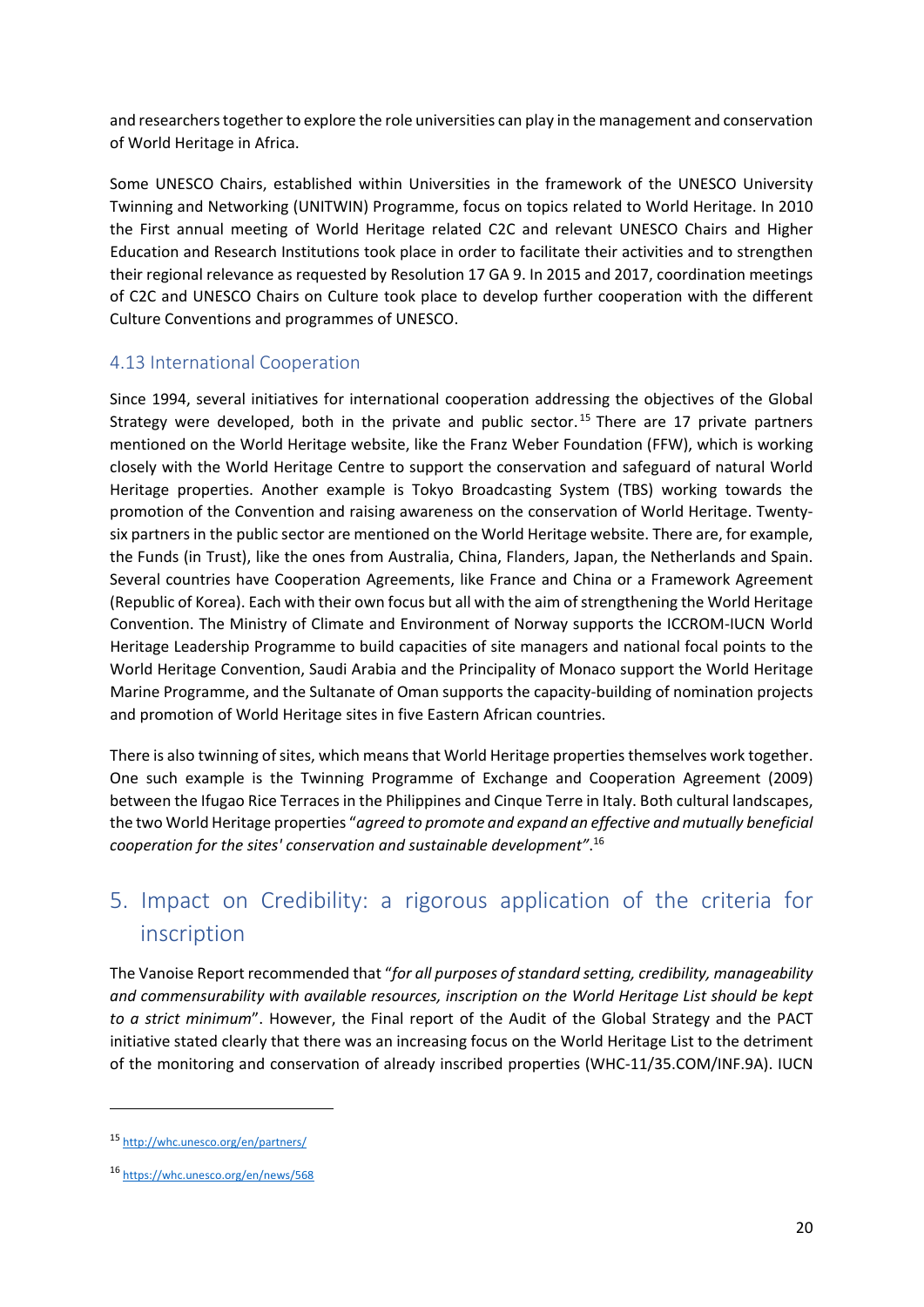and researcherstogether to explore the role universities can play in the management and conservation of World Heritage in Africa.

Some UNESCO Chairs, established within Universities in the framework of the UNESCO University Twinning and Networking (UNITWIN) Programme, focus on topics related to World Heritage. In 2010 the First annual meeting of World Heritage related C2C and relevant UNESCO Chairs and Higher Education and Research Institutions took place in order to facilitate their activities and to strengthen their regional relevance as requested by Resolution 17 GA 9. In 2015 and 2017, coordination meetings of C2C and UNESCO Chairs on Culture took place to develop further cooperation with the different Culture Conventions and programmes of UNESCO.

## 4.13 International Cooperation

Since 1994, several initiatives for international cooperation addressing the objectives of the Global Strategy were developed, both in the private and public sector.<sup>15</sup> There are 17 private partners mentioned on the World Heritage website, like the Franz Weber Foundation (FFW), which is working closely with the World Heritage Centre to support the conservation and safeguard of natural World Heritage properties. Another example is Tokyo Broadcasting System (TBS) working towards the promotion of the Convention and raising awareness on the conservation of World Heritage. Twenty‐ six partners in the public sector are mentioned on the World Heritage website. There are, for example, the Funds (in Trust), like the ones from Australia, China, Flanders, Japan, the Netherlands and Spain. Several countries have Cooperation Agreements, like France and China or a Framework Agreement (Republic of Korea). Each with their own focus but all with the aim of strengthening the World Heritage Convention. The Ministry of Climate and Environment of Norway supports the ICCROM‐IUCN World Heritage Leadership Programme to build capacities of site managers and national focal points to the World Heritage Convention, Saudi Arabia and the Principality of Monaco support the World Heritage Marine Programme, and the Sultanate of Oman supports the capacity-building of nomination projects and promotion of World Heritage sites in five Eastern African countries.

There is also twinning of sites, which means that World Heritage properties themselves work together. One such example is the Twinning Programme of Exchange and Cooperation Agreement (2009) between the Ifugao Rice Terraces in the Philippines and Cinque Terre in Italy. Both cultural landscapes, the two World Heritage properties "*agreed to promote and expand an effective and mutually beneficial cooperation for the sites' conservation and sustainable development"*. 16

## 5. Impact on Credibility: a rigorous application of the criteria for inscription

The Vanoise Report recommended that "*for all purposes ofstandard setting, credibility, manageability and commensurability with available resources, inscription on the World Heritage List should be kept to a strict minimum*". However, the Final report of the Audit of the Global Strategy and the PACT initiative stated clearly that there was an increasing focus on the World Heritage List to the detriment of the monitoring and conservation of already inscribed properties (WHC‐11/35.COM/INF.9A). IUCN

<sup>15</sup> http://whc.unesco.org/en/partners/

<sup>16</sup> https://whc.unesco.org/en/news/568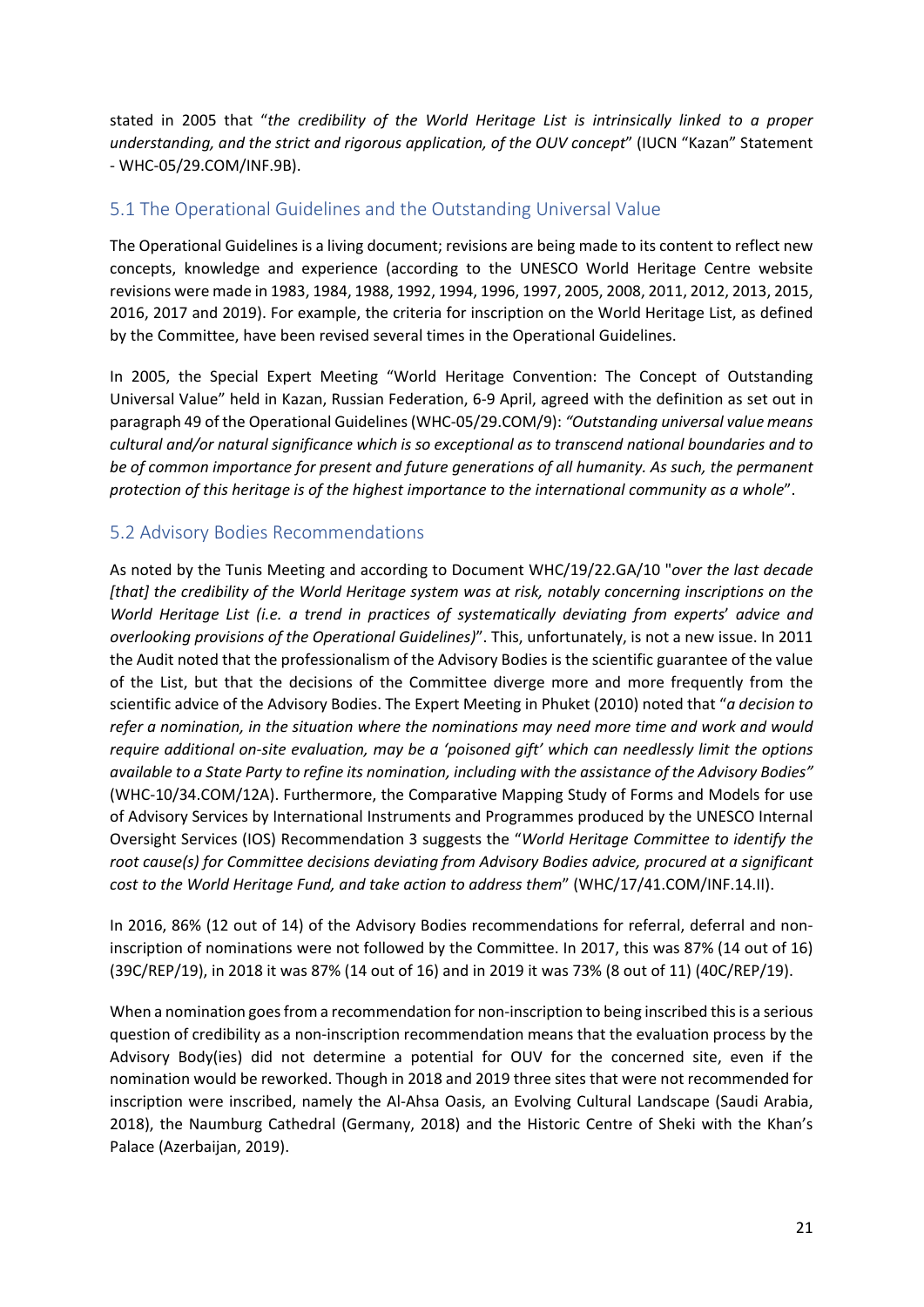stated in 2005 that "*the credibility of the World Heritage List is intrinsically linked to a proper understanding, and the strict and rigorous application, of the OUV concept*" (IUCN "Kazan" Statement ‐ WHC‐05/29.COM/INF.9B).

### 5.1 The Operational Guidelines and the Outstanding Universal Value

The Operational Guidelines is a living document; revisions are being made to its content to reflect new concepts, knowledge and experience (according to the UNESCO World Heritage Centre website revisions were made in 1983, 1984, 1988, 1992, 1994, 1996, 1997, 2005, 2008, 2011, 2012, 2013, 2015, 2016, 2017 and 2019). For example, the criteria for inscription on the World Heritage List, as defined by the Committee, have been revised several times in the Operational Guidelines.

In 2005, the Special Expert Meeting "World Heritage Convention: The Concept of Outstanding Universal Value" held in Kazan, Russian Federation, 6‐9 April, agreed with the definition as set out in paragraph 49 of the Operational Guidelines(WHC‐05/29.COM/9): *"Outstanding universal value means cultural and/or natural significance which is so exceptional as to transcend national boundaries and to be of common importance for present and future generations of all humanity. As such, the permanent protection of this heritage is of the highest importance to the international community as a whole*".

## 5.2 Advisory Bodies Recommendations

As noted by the Tunis Meeting and according to Document WHC/19/22.GA/10 "*over the last decade [that] the credibility of the World Heritage system was at risk, notably concerning inscriptions on the World Heritage List (i.e. a trend in practices of systematically deviating from experts*' *advice and overlooking provisions of the Operational Guidelines)*". This, unfortunately, is not a new issue. In 2011 the Audit noted that the professionalism of the Advisory Bodies is the scientific guarantee of the value of the List, but that the decisions of the Committee diverge more and more frequently from the scientific advice of the Advisory Bodies. The Expert Meeting in Phuket (2010) noted that "*a decision to refer a nomination, in the situation where the nominations may need more time and work and would require additional on‐site evaluation, may be a 'poisoned gift' which can needlessly limit the options* available to a State Party to refine its nomination, including with the assistance of the Advisory Bodies" (WHC‐10/34.COM/12A). Furthermore, the Comparative Mapping Study of Forms and Models for use of Advisory Services by International Instruments and Programmes produced by the UNESCO Internal Oversight Services (IOS) Recommendation 3 suggests the "*World Heritage Committee to identify the root cause(s) for Committee decisions deviating from Advisory Bodies advice, procured at a significant cost to the World Heritage Fund, and take action to address them*" (WHC/17/41.COM/INF.14.II).

In 2016, 86% (12 out of 14) of the Advisory Bodies recommendations for referral, deferral and non‐ inscription of nominations were not followed by the Committee. In 2017, this was 87% (14 out of 16) (39C/REP/19), in 2018 it was 87% (14 out of 16) and in 2019 it was 73% (8 out of 11) (40C/REP/19).

When a nomination goes from a recommendation for non-inscription to being inscribed this is a serious question of credibility as a non‐inscription recommendation means that the evaluation process by the Advisory Body(ies) did not determine a potential for OUV for the concerned site, even if the nomination would be reworked. Though in 2018 and 2019 three sites that were not recommended for inscription were inscribed, namely the Al‐Ahsa Oasis, an Evolving Cultural Landscape (Saudi Arabia, 2018), the Naumburg Cathedral (Germany, 2018) and the Historic Centre of Sheki with the Khan's Palace (Azerbaijan, 2019).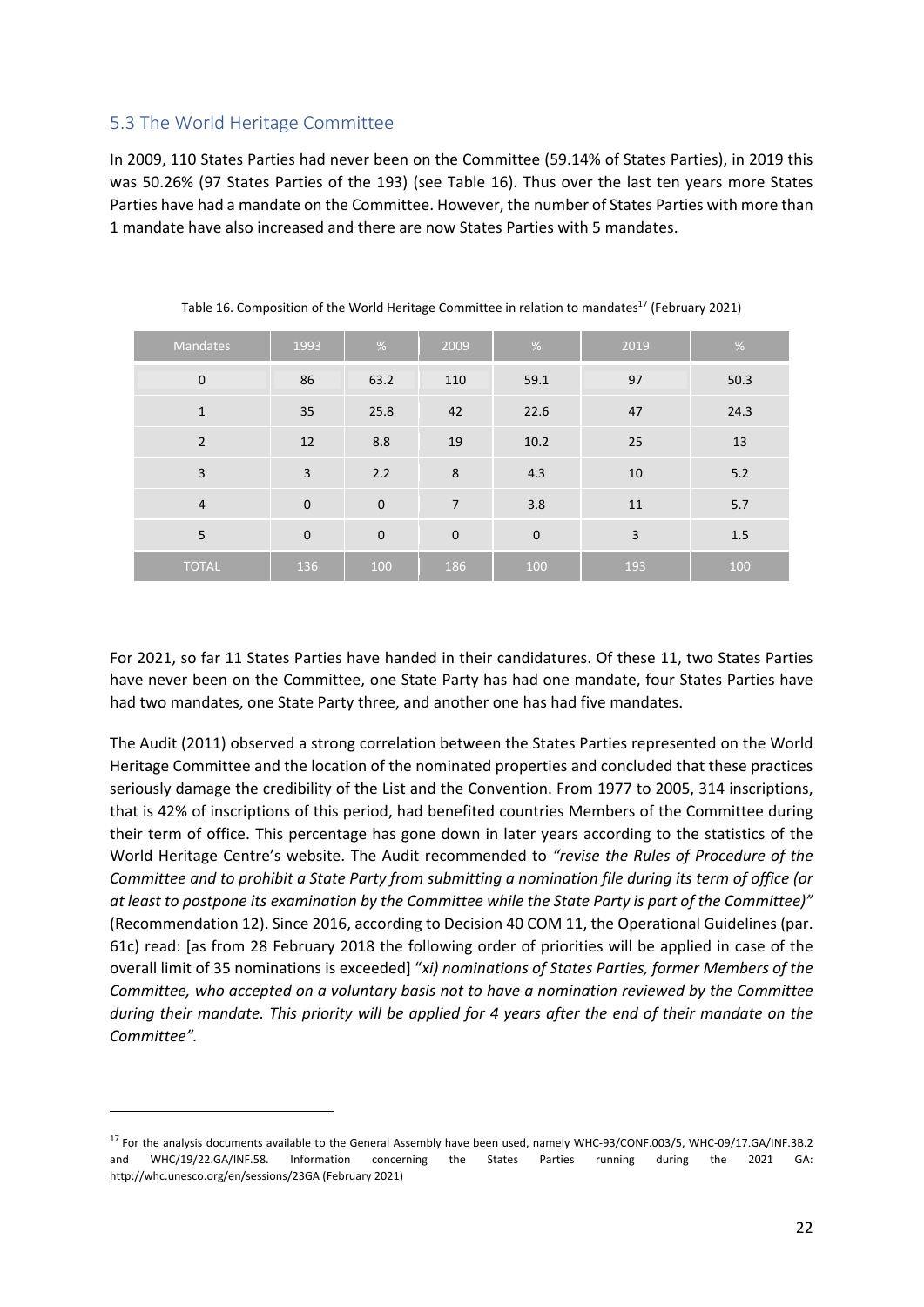#### 5.3 The World Heritage Committee

In 2009, 110 States Parties had never been on the Committee (59.14% of States Parties), in 2019 this was 50.26% (97 States Parties of the 193) (see Table 16). Thus over the last ten years more States Parties have had a mandate on the Committee. However, the number of States Parties with more than 1 mandate have also increased and there are now States Parties with 5 mandates.

| Mandates       | 1993        | $\%$        | 2009           | %           | 2019           | %       |
|----------------|-------------|-------------|----------------|-------------|----------------|---------|
| $\mathbf 0$    | 86          | 63.2        | 110            | 59.1        | 97             | 50.3    |
| $\mathbf{1}$   | 35          | 25.8        | 42             | 22.6        | 47             | 24.3    |
| $\overline{2}$ | 12          | 8.8         | 19             | 10.2        | 25             | 13      |
| $\overline{3}$ | 3           | 2.2         | 8              | 4.3         | 10             | 5.2     |
| $\overline{4}$ | $\mathbf 0$ | $\mathbf 0$ | $\overline{7}$ | 3.8         | 11             | 5.7     |
| 5              | $\mathbf 0$ | $\mathbf 0$ | $\mathbf{0}$   | $\mathbf 0$ | $\overline{3}$ | $1.5\,$ |
| <b>TOTAL</b>   | 136         | 100         | 186            | 100         | 193            | 100     |

Table 16. Composition of the World Heritage Committee in relation to mandates<sup>17</sup> (February 2021)

For 2021, so far 11 States Parties have handed in their candidatures. Of these 11, two States Parties have never been on the Committee, one State Party has had one mandate, four States Parties have had two mandates, one State Party three, and another one has had five mandates.

The Audit (2011) observed a strong correlation between the States Parties represented on the World Heritage Committee and the location of the nominated properties and concluded that these practices seriously damage the credibility of the List and the Convention. From 1977 to 2005, 314 inscriptions, that is 42% of inscriptions of this period, had benefited countries Members of the Committee during their term of office. This percentage has gone down in later years according to the statistics of the World Heritage Centre's website. The Audit recommended to *"revise the Rules of Procedure of the* Committee and to prohibit a State Party from submitting a nomination file during its term of office (or at least to postpone its examination by the Committee while the State Party is part of the Committee)" (Recommendation 12). Since 2016, according to Decision 40 COM 11, the Operational Guidelines (par. 61c) read: [as from 28 February 2018 the following order of priorities will be applied in case of the overall limit of 35 nominations is exceeded] "*xi) nominations of States Parties, former Members of the Committee, who accepted on a voluntary basis not to have a nomination reviewed by the Committee* during their mandate. This priority will be applied for 4 years after the end of their mandate on the *Committee".*

<sup>&</sup>lt;sup>17</sup> For the analysis documents available to the General Assembly have been used, namely WHC-93/CONF.003/5, WHC-09/17.GA/INF.3B.2 and WHC/19/22.GA/INF.58. Information concerning the States Parties running during the 2021 GA: http://whc.unesco.org/en/sessions/23GA (February 2021)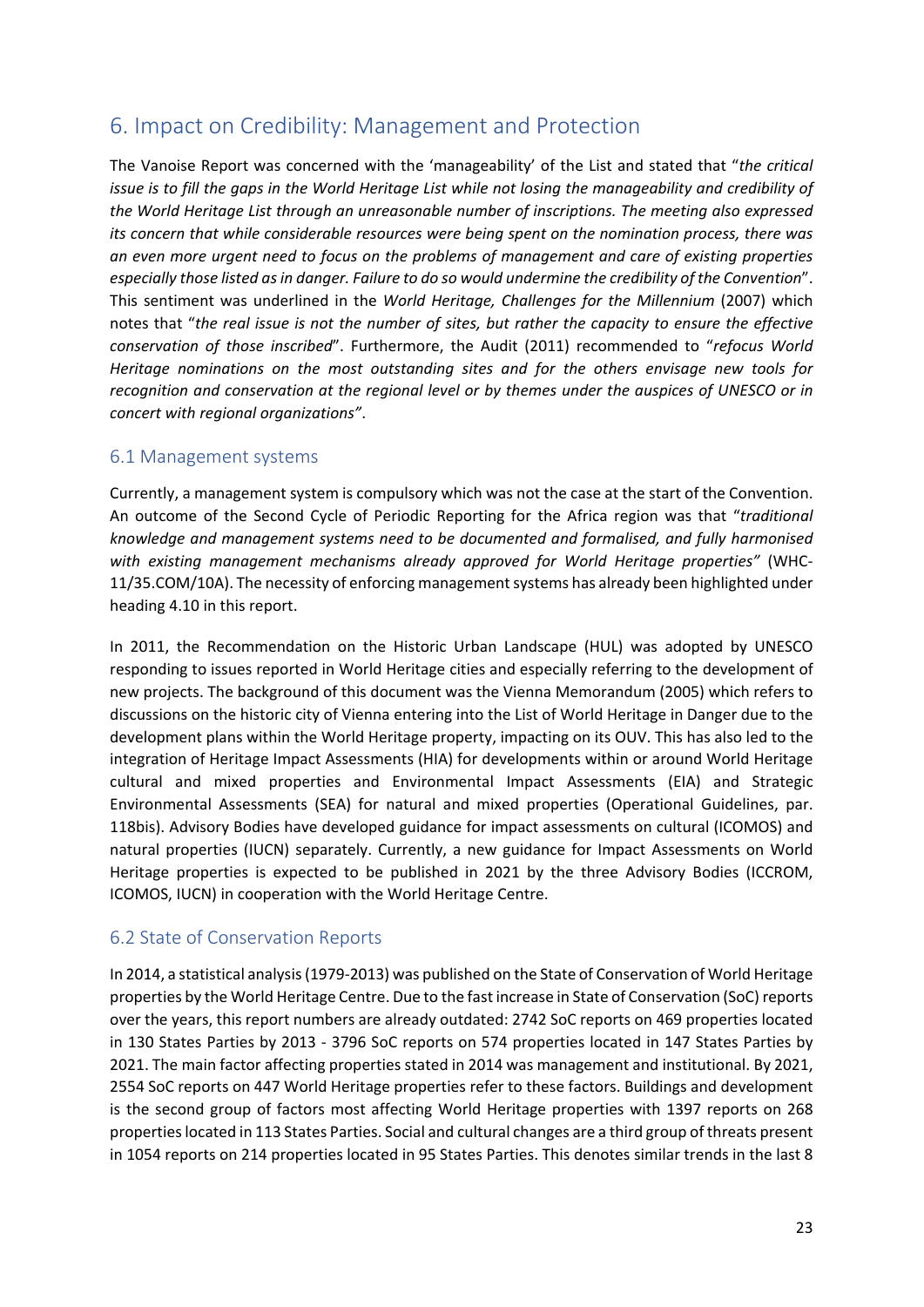## 6. Impact on Credibility: Management and Protection

The Vanoise Report was concerned with the 'manageability' of the List and stated that "*the critical* issue is to fill the gaps in the World Heritage List while not losing the manageability and credibility of *the World Heritage List through an unreasonable number of inscriptions. The meeting also expressed its concern that while considerable resources were being spent on the nomination process, there was an even more urgent need to focus on the problems of management and care of existing properties especially those listed asin danger. Failure to do so would undermine the credibility of the Convention*". This sentiment was underlined in the *World Heritage, Challenges for the Millennium* (2007) which notes that "*the real issue is not the number of sites, but rather the capacity to ensure the effective conservation of those inscribed*". Furthermore, the Audit (2011) recommended to "*refocus World Heritage nominations on the most outstanding sites and for the others envisage new tools for recognition and conservation at the regional level or by themes under the auspices of UNESCO or in concert with regional organizations"*.

#### 6.1 Management systems

Currently, a management system is compulsory which was not the case at the start of the Convention. An outcome of the Second Cycle of Periodic Reporting for the Africa region was that "*traditional knowledge and management systems need to be documented and formalised, and fully harmonised with existing management mechanisms already approved for World Heritage properties"* (WHC‐ 11/35.COM/10A). The necessity of enforcing management systems has already been highlighted under heading 4.10 in this report.

In 2011, the Recommendation on the Historic Urban Landscape (HUL) was adopted by UNESCO responding to issues reported in World Heritage cities and especially referring to the development of new projects. The background of this document was the Vienna Memorandum (2005) which refers to discussions on the historic city of Vienna entering into the List of World Heritage in Danger due to the development plans within the World Heritage property, impacting on its OUV. This has also led to the integration of Heritage Impact Assessments (HIA) for developments within or around World Heritage cultural and mixed properties and Environmental Impact Assessments (EIA) and Strategic Environmental Assessments (SEA) for natural and mixed properties (Operational Guidelines, par. 118bis). Advisory Bodies have developed guidance for impact assessments on cultural (ICOMOS) and natural properties (IUCN) separately. Currently, a new guidance for Impact Assessments on World Heritage properties is expected to be published in 2021 by the three Advisory Bodies (ICCROM, ICOMOS, IUCN) in cooperation with the World Heritage Centre.

### 6.2 State of Conservation Reports

In 2014, a statistical analysis(1979‐2013) was published on the State of Conservation of World Heritage properties by the World Heritage Centre. Due to the fast increase in State of Conservation (SoC)reports over the years, this report numbers are already outdated: 2742 SoC reports on 469 properties located in 130 States Parties by 2013 ‐ 3796 SoC reports on 574 properties located in 147 States Parties by 2021. The main factor affecting properties stated in 2014 was management and institutional. By 2021, 2554 SoC reports on 447 World Heritage properties refer to these factors. Buildings and development is the second group of factors most affecting World Heritage properties with 1397 reports on 268 propertieslocated in 113 States Parties. Social and cultural changes are a third group of threats present in 1054 reports on 214 properties located in 95 States Parties. This denotes similar trends in the last 8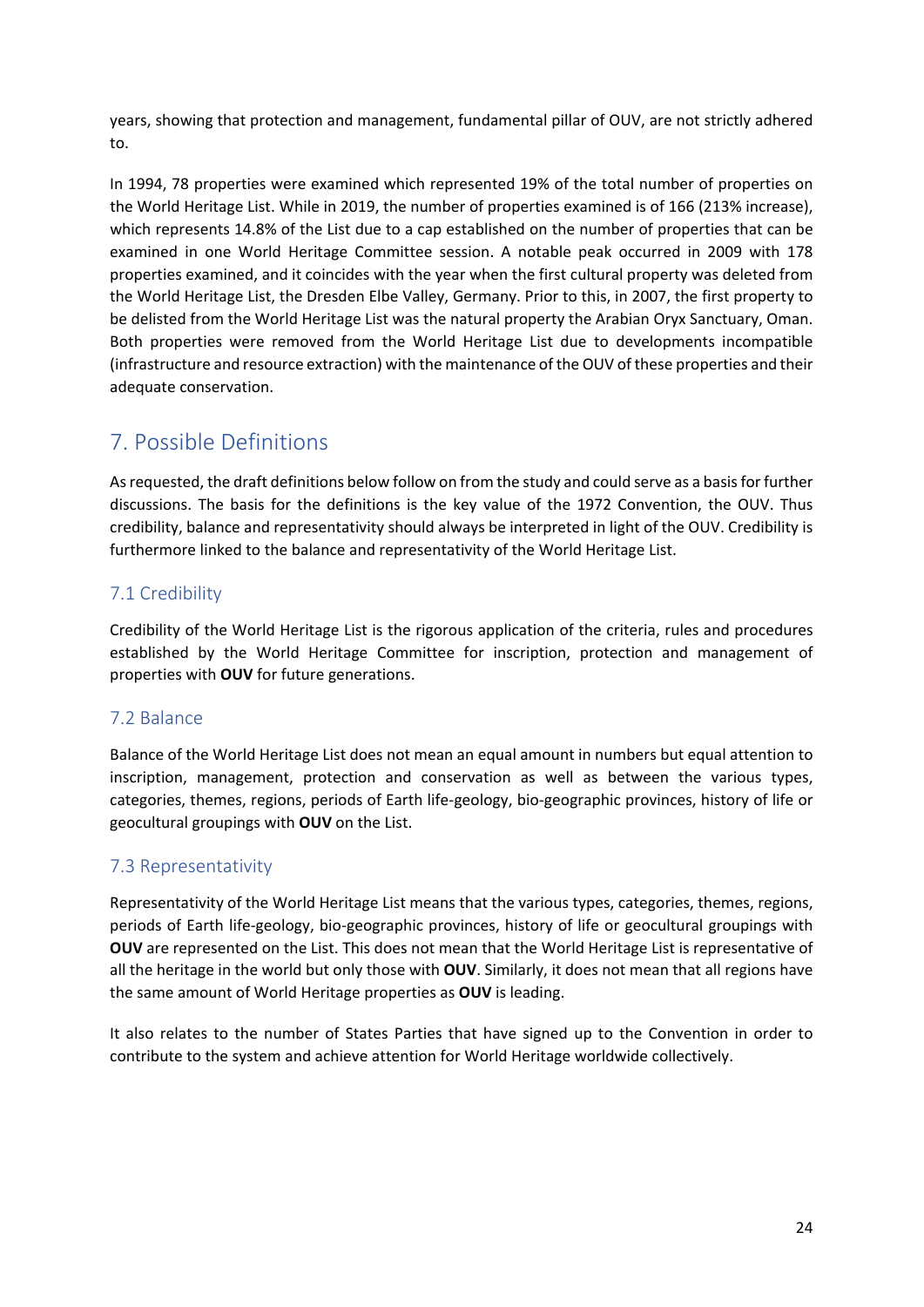years, showing that protection and management, fundamental pillar of OUV, are not strictly adhered to.

In 1994, 78 properties were examined which represented 19% of the total number of properties on the World Heritage List. While in 2019, the number of properties examined is of 166 (213% increase), which represents 14.8% of the List due to a cap established on the number of properties that can be examined in one World Heritage Committee session. A notable peak occurred in 2009 with 178 properties examined, and it coincides with the year when the first cultural property was deleted from the World Heritage List, the Dresden Elbe Valley, Germany. Prior to this, in 2007, the first property to be delisted from the World Heritage List was the natural property the Arabian Oryx Sanctuary, Oman. Both properties were removed from the World Heritage List due to developments incompatible (infrastructure and resource extraction) with the maintenance of the OUV of these properties and their adequate conservation.

# 7. Possible Definitions

Asrequested, the draft definitions below follow on from the study and could serve as a basisfor further discussions. The basis for the definitions is the key value of the 1972 Convention, the OUV. Thus credibility, balance and representativity should always be interpreted in light of the OUV. Credibility is furthermore linked to the balance and representativity of the World Heritage List.

## 7.1 Credibility

Credibility of the World Heritage List is the rigorous application of the criteria, rules and procedures established by the World Heritage Committee for inscription, protection and management of properties with **OUV** for future generations.

### 7.2 Balance

Balance of the World Heritage List does not mean an equal amount in numbers but equal attention to inscription, management, protection and conservation as well as between the various types, categories, themes, regions, periods of Earth life‐geology, bio‐geographic provinces, history of life or geocultural groupings with **OUV** on the List.

### 7.3 Representativity

Representativity of the World Heritage List means that the various types, categories, themes, regions, periods of Earth life‐geology, bio‐geographic provinces, history of life or geocultural groupings with **OUV** are represented on the List. This does not mean that the World Heritage List is representative of all the heritage in the world but only those with **OUV**. Similarly, it does not mean that all regions have the same amount of World Heritage properties as **OUV** is leading.

It also relates to the number of States Parties that have signed up to the Convention in order to contribute to the system and achieve attention for World Heritage worldwide collectively.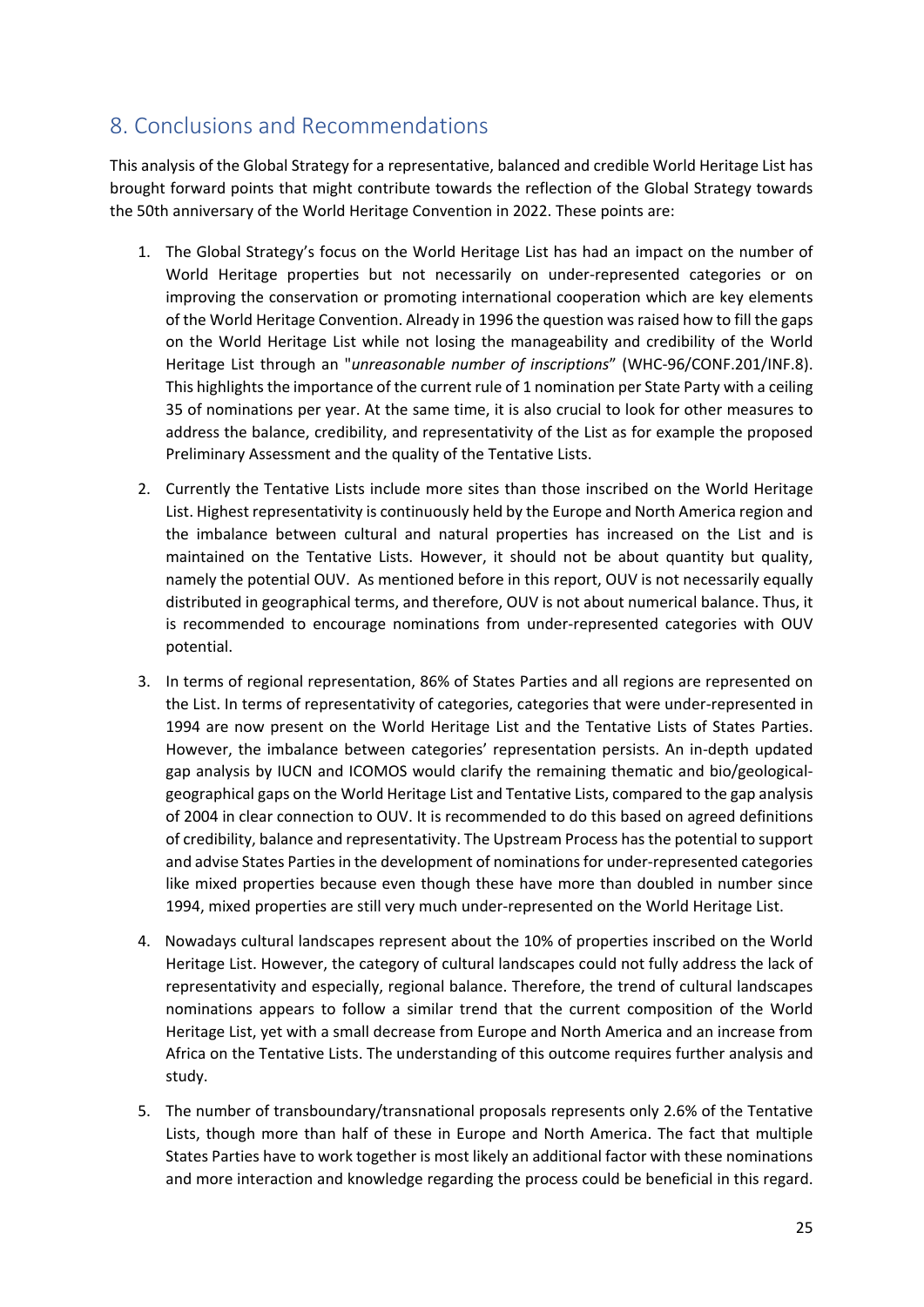## 8. Conclusions and Recommendations

This analysis of the Global Strategy for a representative, balanced and credible World Heritage List has brought forward points that might contribute towards the reflection of the Global Strategy towards the 50th anniversary of the World Heritage Convention in 2022. These points are:

- 1. The Global Strategy's focus on the World Heritage List has had an impact on the number of World Heritage properties but not necessarily on under-represented categories or on improving the conservation or promoting international cooperation which are key elements of the World Heritage Convention. Already in 1996 the question wasraised how to fill the gaps on the World Heritage List while not losing the manageability and credibility of the World Heritage List through an "*unreasonable number of inscriptions*" (WHC‐96/CONF.201/INF.8). This highlights the importance of the current rule of 1 nomination per State Party with a ceiling 35 of nominations per year. At the same time, it is also crucial to look for other measures to address the balance, credibility, and representativity of the List as for example the proposed Preliminary Assessment and the quality of the Tentative Lists.
- 2. Currently the Tentative Lists include more sites than those inscribed on the World Heritage List. Highest representativity is continuously held by the Europe and North America region and the imbalance between cultural and natural properties has increased on the List and is maintained on the Tentative Lists. However, it should not be about quantity but quality, namely the potential OUV. As mentioned before in this report, OUV is not necessarily equally distributed in geographical terms, and therefore, OUV is not about numerical balance. Thus, it is recommended to encourage nominations from under‐represented categories with OUV potential.
- 3. In terms of regional representation, 86% of States Parties and all regions are represented on the List. In terms of representativity of categories, categories that were under‐represented in 1994 are now present on the World Heritage List and the Tentative Lists of States Parties. However, the imbalance between categories' representation persists. An in‐depth updated gap analysis by IUCN and ICOMOS would clarify the remaining thematic and bio/geological‐ geographical gaps on the World Heritage List and Tentative Lists, compared to the gap analysis of 2004 in clear connection to OUV. It is recommended to do this based on agreed definitions of credibility, balance and representativity. The Upstream Process hasthe potential to support and advise States Parties in the development of nominations for under-represented categories like mixed properties because even though these have more than doubled in number since 1994, mixed properties are still very much under-represented on the World Heritage List.
- 4. Nowadays cultural landscapes represent about the 10% of properties inscribed on the World Heritage List. However, the category of cultural landscapes could not fully address the lack of representativity and especially, regional balance. Therefore, the trend of cultural landscapes nominations appears to follow a similar trend that the current composition of the World Heritage List, yet with a small decrease from Europe and North America and an increase from Africa on the Tentative Lists. The understanding of this outcome requires further analysis and study.
- 5. The number of transboundary/transnational proposals represents only 2.6% of the Tentative Lists, though more than half of these in Europe and North America. The fact that multiple States Parties have to work together is most likely an additional factor with these nominations and more interaction and knowledge regarding the process could be beneficial in this regard.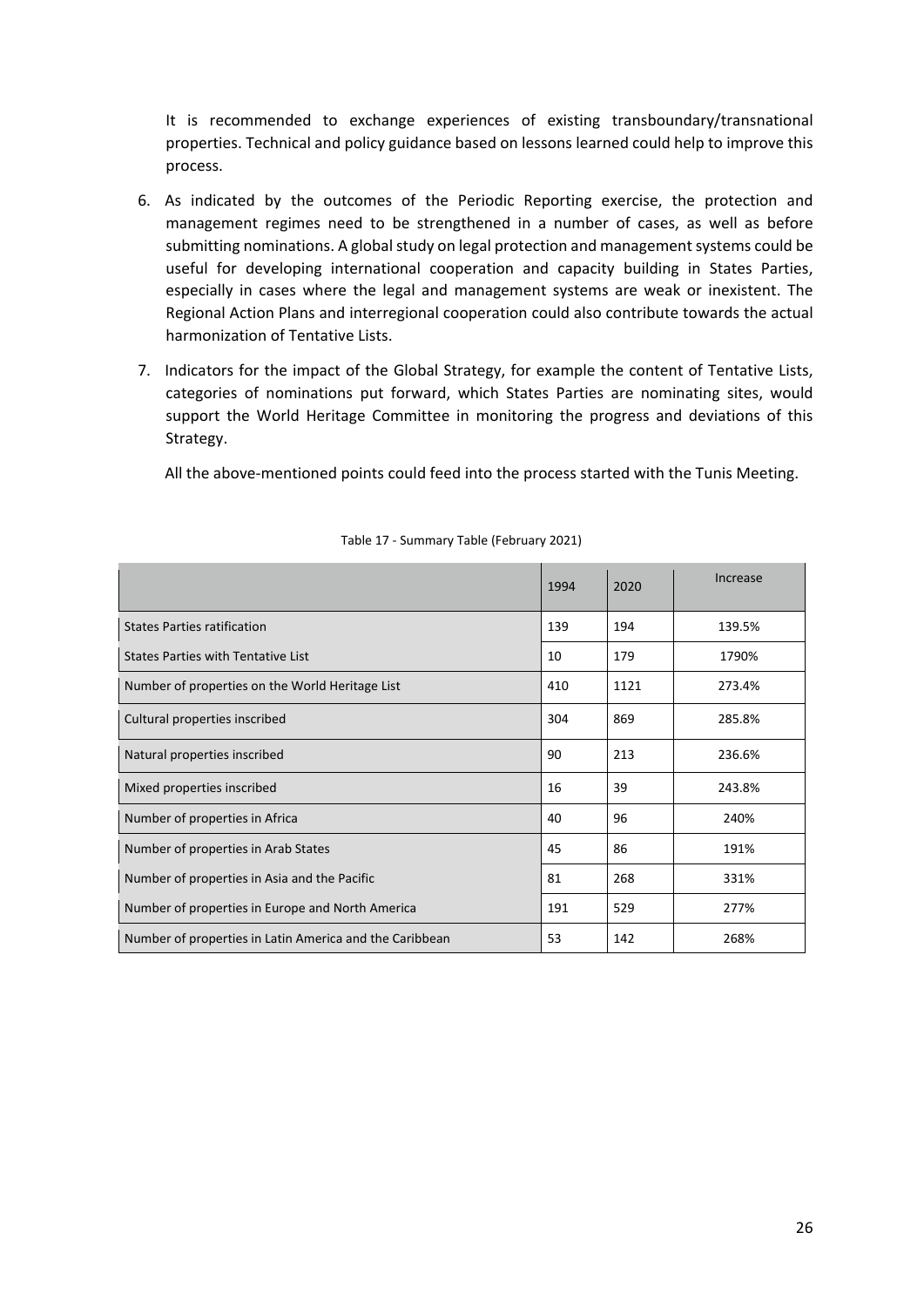It is recommended to exchange experiences of existing transboundary/transnational properties. Technical and policy guidance based on lessons learned could help to improve this process.

- 6. As indicated by the outcomes of the Periodic Reporting exercise, the protection and management regimes need to be strengthened in a number of cases, as well as before submitting nominations. A global study on legal protection and management systems could be useful for developing international cooperation and capacity building in States Parties, especially in cases where the legal and management systems are weak or inexistent. The Regional Action Plans and interregional cooperation could also contribute towards the actual harmonization of Tentative Lists.
- 7. Indicators for the impact of the Global Strategy, for example the content of Tentative Lists, categories of nominations put forward, which States Parties are nominating sites, would support the World Heritage Committee in monitoring the progress and deviations of this Strategy.

All the above-mentioned points could feed into the process started with the Tunis Meeting.

|                                                         | 1994 | 2020 | Increase |
|---------------------------------------------------------|------|------|----------|
| <b>States Parties ratification</b>                      | 139  | 194  | 139.5%   |
| States Parties with Tentative List                      | 10   | 179  | 1790%    |
| Number of properties on the World Heritage List         | 410  | 1121 | 273.4%   |
| Cultural properties inscribed                           | 304  | 869  | 285.8%   |
| Natural properties inscribed                            | 90   | 213  | 236.6%   |
| Mixed properties inscribed                              | 16   | 39   | 243.8%   |
| Number of properties in Africa                          | 40   | 96   | 240%     |
| Number of properties in Arab States                     | 45   | 86   | 191%     |
| Number of properties in Asia and the Pacific            | 81   | 268  | 331%     |
| Number of properties in Europe and North America        | 191  | 529  | 277%     |
| Number of properties in Latin America and the Caribbean | 53   | 142  | 268%     |

#### Table 17 ‐ Summary Table (February 2021)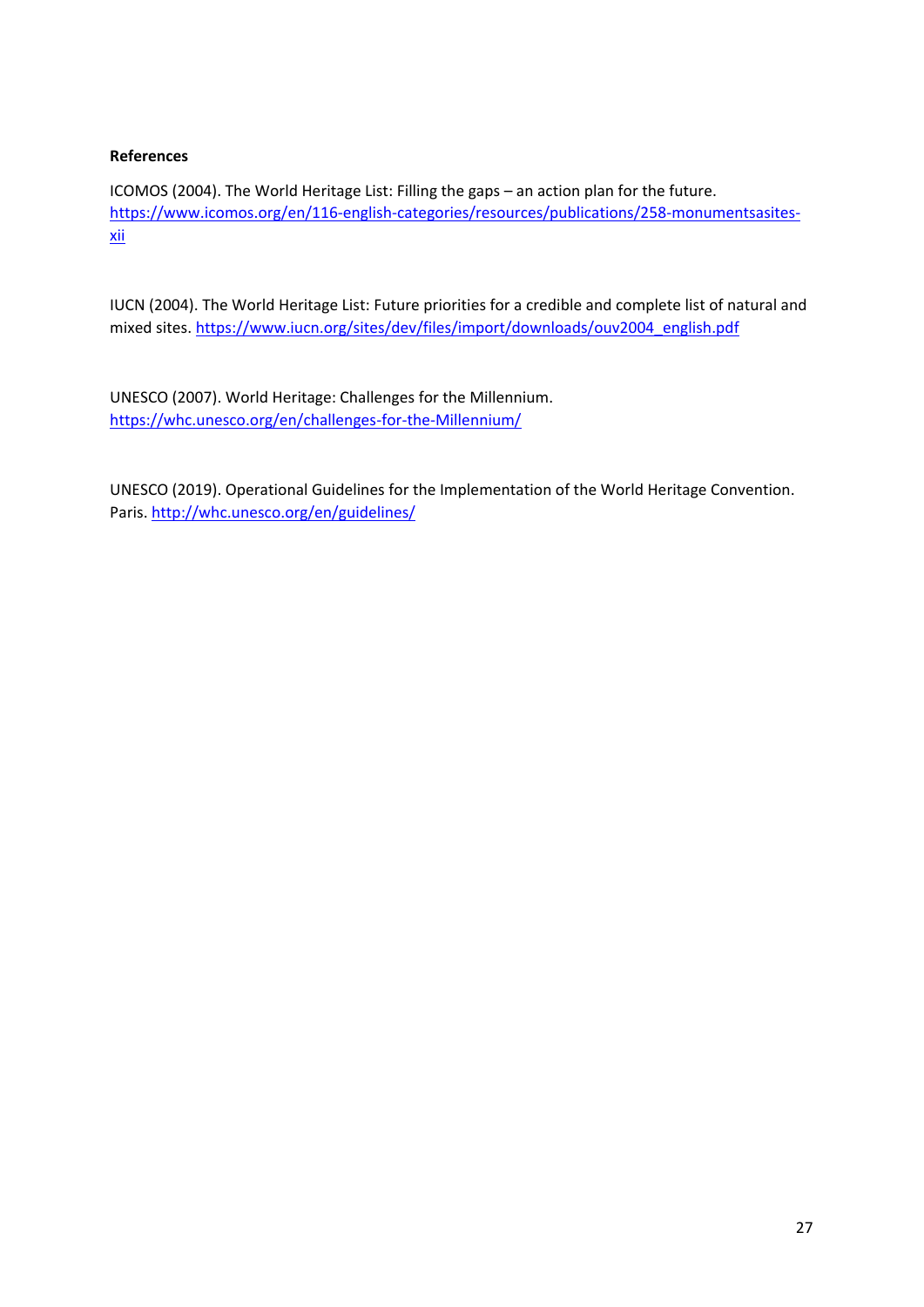#### **References**

ICOMOS (2004). The World Heritage List: Filling the gaps – an action plan for the future. https://www.icomos.org/en/116-english-categories/resources/publications/258-monumentsasitesxii

IUCN (2004). The World Heritage List: Future priorities for a credible and complete list of natural and mixed sites. https://www.iucn.org/sites/dev/files/import/downloads/ouv2004\_english.pdf

UNESCO (2007). World Heritage: Challenges for the Millennium. https://whc.unesco.org/en/challenges‐for‐the‐Millennium/

UNESCO (2019). Operational Guidelines for the Implementation of the World Heritage Convention. Paris. http://whc.unesco.org/en/guidelines/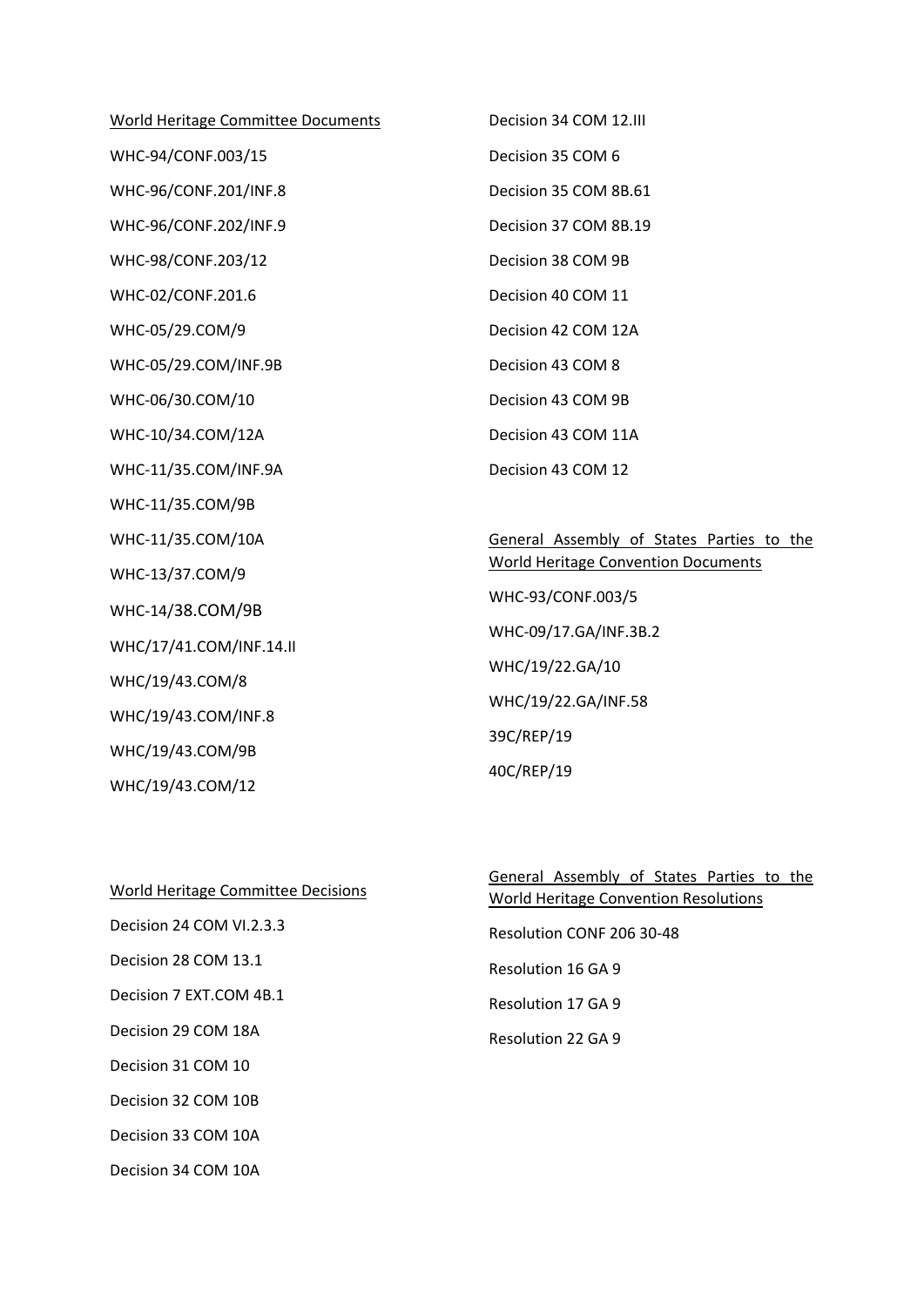World Heritage Committee Documents WHC‐94/CONF.003/15 WHC‐96/CONF.201/INF.8 WHC‐96/CONF.202/INF.9 WHC‐98/CONF.203/12 WHC‐02/CONF.201.6 WHC‐05/29.COM/9 WHC‐05/29.COM/INF.9B WHC‐06/30.COM/10 WHC‐10/34.COM/12A WHC‐11/35.COM/INF.9A WHC‐11/35.COM/9B WHC‐11/35.COM/10A WHC‐13/37.COM/9 WHC‐14/38.COM/9B WHC/17/41.COM/INF.14.II WHC/19/43.COM/8 WHC/19/43.COM/INF.8 WHC/19/43.COM/9B WHC/19/43.COM/12

Decision 34 COM 12.III Decision 35 COM 6 Decision 35 COM 8B.61 Decision 37 COM 8B.19 Decision 38 COM 9B Decision 40 COM 11 Decision 42 COM 12A Decision 43 COM 8 Decision 43 COM 9B Decision 43 COM 11A Decision 43 COM 12

General Assembly of States Parties to the World Heritage Convention Documents WHC‐93/CONF.003/5 WHC‐09/17.GA/INF.3B.2 WHC/19/22.GA/10 WHC/19/22.GA/INF.58 39C/REP/19 40C/REP/19

| World Heritage Committee Decisions |
|------------------------------------|
| Decision 24 COM VL2.3.3            |
| Decision 28 COM 13.1               |
| Decision 7 EXT.COM 4B.1            |
| Decision 29 COM 18A                |
| Decision 31 COM 10                 |
| Decision 32 COM 10B                |
| Decision 33 COM 10A                |
| Decision 34 COM 10A                |

General Assembly of States Parties to the World Heritage Convention Resolutions Resolution CONF 206 30‐48 Resolution 16 GA 9 Resolution 17 GA 9 Resolution 22 GA 9